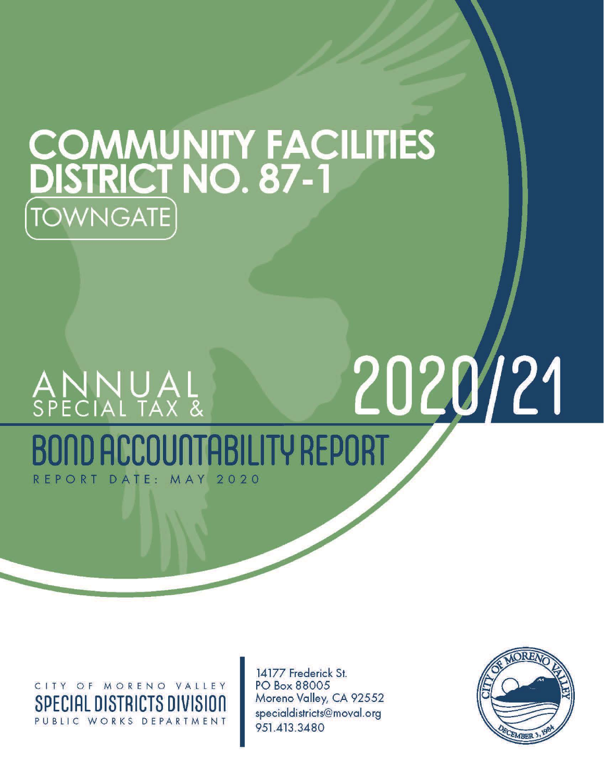# **COMMUNITY FACILITIES<br>DISTRICT NO. 87-1 TOWNGATE**

# 2020/21 ANNUAL<br>special tax & **TABILITY REPORT** REPORT DATE: MAY  $2020$

CITY OF MORENO VALLEY SPECIAL DISTRICTS DIVISION PUBLIC WORKS DEPARTMENT

14177 Frederick St. PO Box 88005 Moreno Valley, CA 92552 specialdistricts@moval.org 951.413.3480

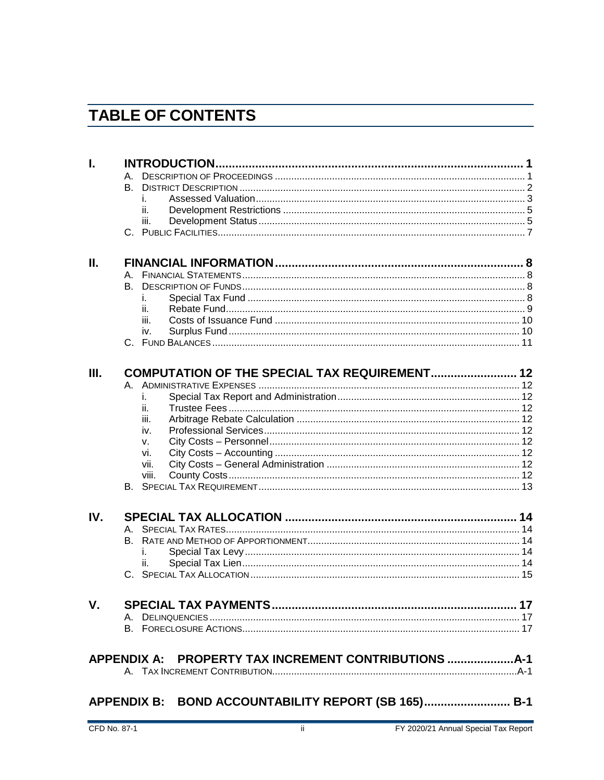# **TABLE OF CONTENTS**

|     | A.    |                                                          |  |
|-----|-------|----------------------------------------------------------|--|
|     |       |                                                          |  |
|     | i.    |                                                          |  |
|     | ii.   |                                                          |  |
|     | iii.  |                                                          |  |
|     |       |                                                          |  |
| Π.  |       |                                                          |  |
|     | А.    |                                                          |  |
|     | В.    |                                                          |  |
|     | İ.    |                                                          |  |
|     | ii.   |                                                          |  |
|     | iii.  |                                                          |  |
|     | iv.   |                                                          |  |
|     |       |                                                          |  |
| Ш.  |       | COMPUTATION OF THE SPECIAL TAX REQUIREMENT 12            |  |
|     |       |                                                          |  |
|     |       |                                                          |  |
|     | ii.   |                                                          |  |
|     | iii.  |                                                          |  |
|     | iv.   |                                                          |  |
|     | V.    |                                                          |  |
|     | vi.   |                                                          |  |
|     | vii.  |                                                          |  |
|     | viii. |                                                          |  |
|     |       |                                                          |  |
| IV. |       |                                                          |  |
|     | A.    |                                                          |  |
|     |       |                                                          |  |
|     | İ.    |                                                          |  |
|     | ii.   |                                                          |  |
|     |       |                                                          |  |
| V.  |       |                                                          |  |
|     |       |                                                          |  |
|     |       |                                                          |  |
|     |       |                                                          |  |
|     |       | APPENDIX A:     PROPERTY TAX INCREMENT CONTRIBUTIONS A-1 |  |
|     |       |                                                          |  |
|     |       | APPENDIX B:    BOND ACCOUNTABILITY REPORT (SB 165) B-1   |  |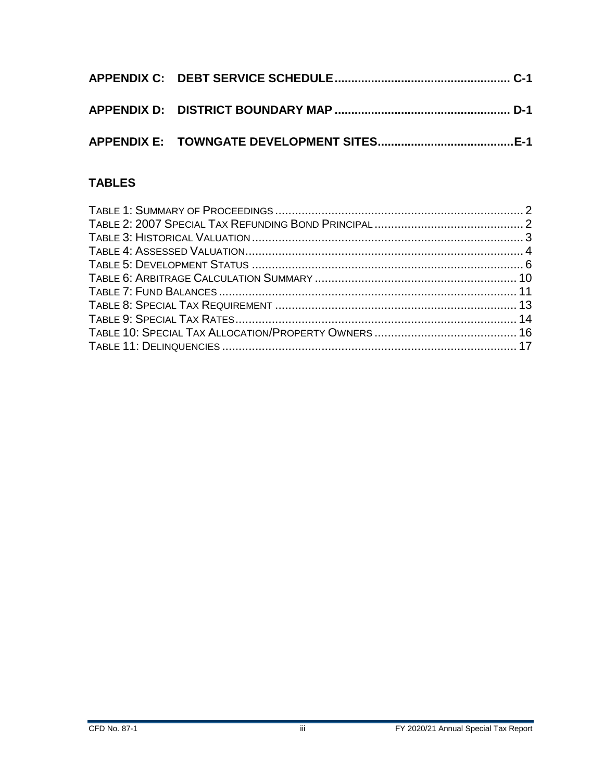## **TABLES**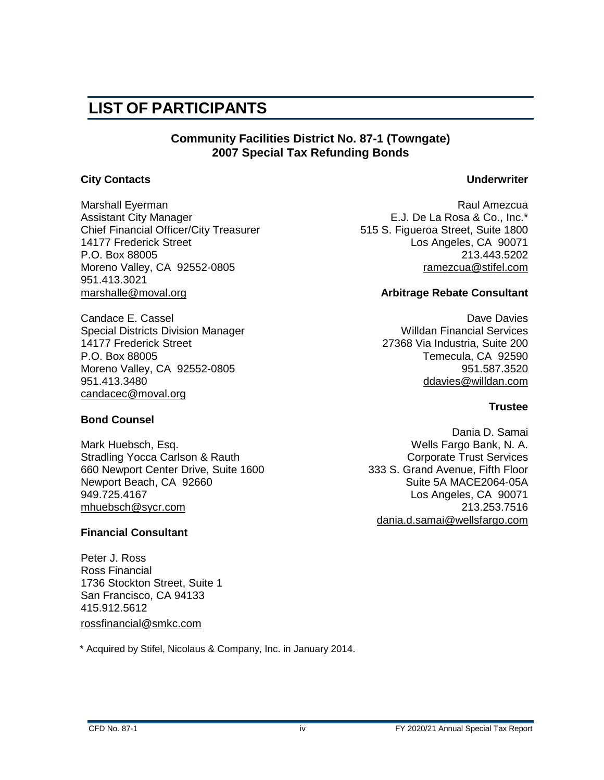# **LIST OF PARTICIPANTS**

#### **Community Facilities District No. 87-1 (Towngate) 2007 Special Tax Refunding Bonds**

#### **City Contacts Underwriter**

Marshall Eyerman **Raul Amezcua** Raul Amezcua Assistant City Manager **E.J. De La Rosa & Co., Inc.**\* Chief Financial Officer/City Treasurer 515 S. Figueroa Street, Suite 1800 14177 Frederick Street Los Angeles, CA 90071 P.O. Box 88005 213.443.5202 Moreno Valley, CA 92552-0805 [ramezcua@stifel.com](mailto:ramezcua@ejdelarosa.com)  951.413.3021 marshalle@moval.org **Arbitrage Rebate Consultant**

Candace E. Cassel<br>Special Districts Division Manager Nation Controller and Mulldan Financial Services Special Districts Division Manager 14177 Frederick Street 27368 Via Industria, Suite 200 P.O. Box 88005 P.O. Box 88005<br>Moreno Valley, CA 92552-0805 Noreno Valley, CA 92552-0805 Moreno Valley, CA 92552-0805 951.413.3480 [ddavies@willdan.com](mailto:tspeer@nbsgov.com) [candacec@moval.org](mailto:candacec@moval.org)

#### **Bond Counsel**

Mark Huebsch, Esq. Wells Fargo Bank, N. A. Stradling Yocca Carlson & Rauth Corporate Trust Services 660 Newport Center Drive, Suite 1600 333 S. Grand Avenue, Fifth Floor Newport Beach, CA 92660 Suite 5A MACE2064-05A 949.725.4167 Los Angeles, CA 90071 [mhuebsch@sycr.com](mailto:mhuebsch@sycr.com) 213.253.7516

#### **Financial Consultant**

Peter J. Ross Ross Financial 1736 Stockton Street, Suite 1 San Francisco, CA 94133 415.912.5612 [rossfinancial@smkc.com](mailto:rossfinancial@smkc.com)

\* Acquired by Stifel, Nicolaus & Company, Inc. in January 2014.

#### **Trustee**

Dania D. Samai [dania.d.samai@wellsfargo.com](mailto:dania.d.samai@wellsfargo.com)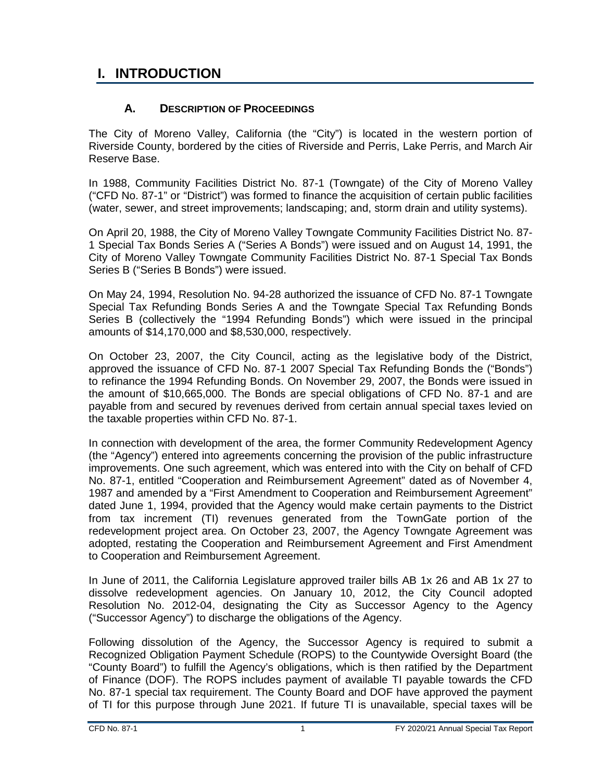# <span id="page-4-0"></span>**I. INTRODUCTION**

#### **A. DESCRIPTION OF PROCEEDINGS**

<span id="page-4-1"></span>The City of Moreno Valley, California (the "City") is located in the western portion of Riverside County, bordered by the cities of Riverside and Perris, Lake Perris, and March Air Reserve Base.

In 1988, Community Facilities District No. 87-1 (Towngate) of the City of Moreno Valley ("CFD No. 87-1" or "District") was formed to finance the acquisition of certain public facilities (water, sewer, and street improvements; landscaping; and, storm drain and utility systems).

On April 20, 1988, the City of Moreno Valley Towngate Community Facilities District No. 87- 1 Special Tax Bonds Series A ("Series A Bonds") were issued and on August 14, 1991, the City of Moreno Valley Towngate Community Facilities District No. 87-1 Special Tax Bonds Series B ("Series B Bonds") were issued.

On May 24, 1994, Resolution No. 94-28 authorized the issuance of CFD No. 87-1 Towngate Special Tax Refunding Bonds Series A and the Towngate Special Tax Refunding Bonds Series B (collectively the "1994 Refunding Bonds") which were issued in the principal amounts of \$14,170,000 and \$8,530,000, respectively.

On October 23, 2007, the City Council, acting as the legislative body of the District, approved the issuance of CFD No. 87-1 2007 Special Tax Refunding Bonds the ("Bonds") to refinance the 1994 Refunding Bonds. On November 29, 2007, the Bonds were issued in the amount of \$10,665,000. The Bonds are special obligations of CFD No. 87-1 and are payable from and secured by revenues derived from certain annual special taxes levied on the taxable properties within CFD No. 87-1.

In connection with development of the area, the former Community Redevelopment Agency (the "Agency") entered into agreements concerning the provision of the public infrastructure improvements. One such agreement, which was entered into with the City on behalf of CFD No. 87-1, entitled "Cooperation and Reimbursement Agreement" dated as of November 4, 1987 and amended by a "First Amendment to Cooperation and Reimbursement Agreement" dated June 1, 1994, provided that the Agency would make certain payments to the District from tax increment (TI) revenues generated from the TownGate portion of the redevelopment project area. On October 23, 2007, the Agency Towngate Agreement was adopted, restating the Cooperation and Reimbursement Agreement and First Amendment to Cooperation and Reimbursement Agreement.

In June of 2011, the California Legislature approved trailer bills AB 1x 26 and AB 1x 27 to dissolve redevelopment agencies. On January 10, 2012, the City Council adopted Resolution No. 2012-04, designating the City as Successor Agency to the Agency ("Successor Agency") to discharge the obligations of the Agency.

Following dissolution of the Agency, the Successor Agency is required to submit a Recognized Obligation Payment Schedule (ROPS) to the Countywide Oversight Board (the "County Board") to fulfill the Agency's obligations, which is then ratified by the Department of Finance (DOF). The ROPS includes payment of available TI payable towards the CFD No. 87-1 special tax requirement. The County Board and DOF have approved the payment of TI for this purpose through June 2021. If future TI is unavailable, special taxes will be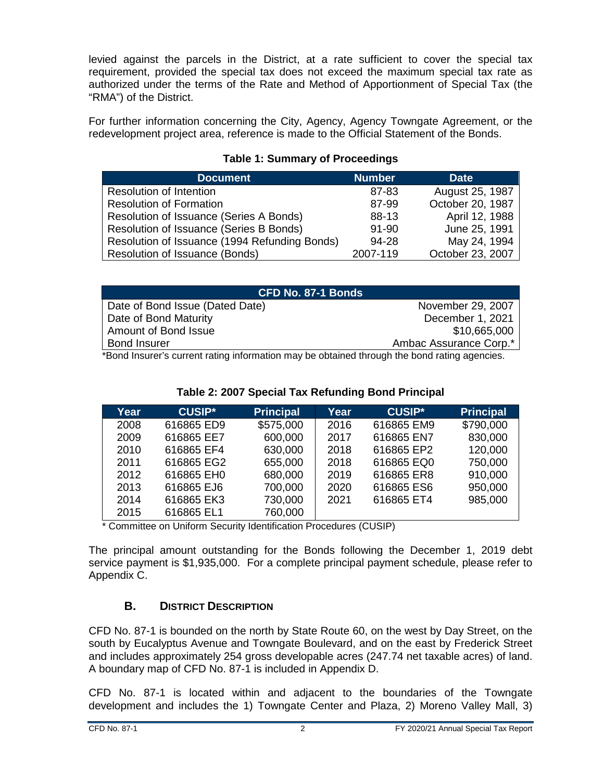levied against the parcels in the District, at a rate sufficient to cover the special tax requirement, provided the special tax does not exceed the maximum special tax rate as authorized under the terms of the Rate and Method of Apportionment of Special Tax (the "RMA") of the District.

For further information concerning the City, Agency, Agency Towngate Agreement, or the redevelopment project area, reference is made to the Official Statement of the Bonds.

#### **Table 1: Summary of Proceedings**

<span id="page-5-1"></span>

| <b>Document</b>                               | <b>Number</b> | <b>Date</b>      |
|-----------------------------------------------|---------------|------------------|
| <b>Resolution of Intention</b>                | 87-83         | August 25, 1987  |
| <b>Resolution of Formation</b>                | 87-99         | October 20, 1987 |
| Resolution of Issuance (Series A Bonds)       | 88-13         | April 12, 1988   |
| Resolution of Issuance (Series B Bonds)       | $91 - 90$     | June 25, 1991    |
| Resolution of Issuance (1994 Refunding Bonds) | 94-28         | May 24, 1994     |
| Resolution of Issuance (Bonds)                | 2007-119      | October 23, 2007 |

| CFD No. 87-1 Bonds                                                                          |                        |  |  |
|---------------------------------------------------------------------------------------------|------------------------|--|--|
| Date of Bond Issue (Dated Date)                                                             | November 29, 2007      |  |  |
| Date of Bond Maturity                                                                       | December 1, 2021       |  |  |
| Amount of Bond Issue                                                                        | \$10,665,000           |  |  |
| <b>Bond Insurer</b>                                                                         | Ambac Assurance Corp.* |  |  |
| *Dend leguraria qurrent roting information mou he obtained through the bend roting opension |                        |  |  |

\*Bond Insurer's current rating information may be obtained through the bond rating agencies.

<span id="page-5-2"></span>

| Year | <b>CUSIP*</b> | <b>Principal</b> | Year | <b>CUSIP*</b> | <b>Principal</b> |
|------|---------------|------------------|------|---------------|------------------|
| 2008 | 616865 ED9    | \$575,000        | 2016 | 616865 EM9    | \$790,000        |
| 2009 | 616865 EE7    | 600,000          | 2017 | 616865 EN7    | 830,000          |
| 2010 | 616865 EF4    | 630,000          | 2018 | 616865 EP2    | 120,000          |
| 2011 | 616865 EG2    | 655,000          | 2018 | 616865 EQ0    | 750,000          |
| 2012 | 616865 EH0    | 680,000          | 2019 | 616865 ER8    | 910,000          |
| 2013 | 616865 EJ6    | 700,000          | 2020 | 616865 ES6    | 950,000          |
| 2014 | 616865 EK3    | 730,000          | 2021 | 616865 ET4    | 985,000          |
| 2015 | 616865 EL1    | 760,000          |      |               |                  |

#### **Table 2: 2007 Special Tax Refunding Bond Principal**

\* Committee on Uniform Security Identification Procedures (CUSIP)

The principal amount outstanding for the Bonds following the December 1, 2019 debt service payment is \$1,935,000. For a complete principal payment schedule, please refer to Appendix C.

#### **B. DISTRICT DESCRIPTION**

<span id="page-5-0"></span>CFD No. 87-1 is bounded on the north by State Route 60, on the west by Day Street, on the south by Eucalyptus Avenue and Towngate Boulevard, and on the east by Frederick Street and includes approximately 254 gross developable acres (247.74 net taxable acres) of land. A boundary map of CFD No. 87-1 is included in Appendix D.

CFD No. 87-1 is located within and adjacent to the boundaries of the Towngate development and includes the 1) Towngate Center and Plaza, 2) Moreno Valley Mall, 3)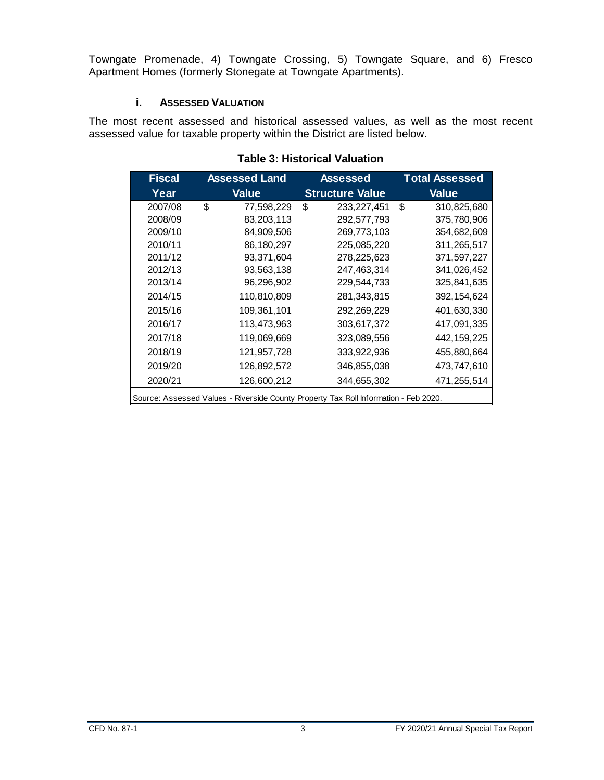Towngate Promenade, 4) Towngate Crossing, 5) Towngate Square, and 6) Fresco Apartment Homes (formerly Stonegate at Towngate Apartments).

#### **i. ASSESSED VALUATION**

<span id="page-6-1"></span><span id="page-6-0"></span>The most recent assessed and historical assessed values, as well as the most recent assessed value for taxable property within the District are listed below.

| <b>Fiscal</b>                                                                        | <b>Assessed Land</b> | <b>Assessed</b>        | <b>Total Assessed</b> |  |  |
|--------------------------------------------------------------------------------------|----------------------|------------------------|-----------------------|--|--|
| Year                                                                                 | <b>Value</b>         | <b>Structure Value</b> | <b>Value</b>          |  |  |
| 2007/08                                                                              | \$<br>77,598,229     | \$<br>233, 227, 451    | \$<br>310,825,680     |  |  |
| 2008/09                                                                              | 83,203,113           | 292,577,793            | 375,780,906           |  |  |
| 2009/10                                                                              | 84,909,506           | 269,773,103            | 354,682,609           |  |  |
| 2010/11                                                                              | 86,180,297           | 225,085,220            | 311,265,517           |  |  |
| 2011/12                                                                              | 93,371,604           | 278,225,623            | 371,597,227           |  |  |
| 2012/13                                                                              | 93,563,138           | 247,463,314            | 341,026,452           |  |  |
| 2013/14                                                                              | 96,296,902           | 229,544,733            | 325,841,635           |  |  |
| 2014/15                                                                              | 110,810,809          | 281, 343, 815          | 392, 154, 624         |  |  |
| 2015/16                                                                              | 109,361,101          | 292,269,229            | 401,630,330           |  |  |
| 2016/17                                                                              | 113,473,963          | 303,617,372            | 417,091,335           |  |  |
| 2017/18                                                                              | 119,069,669          | 323,089,556            | 442, 159, 225         |  |  |
| 2018/19                                                                              | 121,957,728          | 333,922,936            | 455,880,664           |  |  |
| 2019/20                                                                              | 126,892,572          | 346,855,038            | 473,747,610           |  |  |
| 2020/21                                                                              | 126,600,212          | 344,655,302            | 471,255,514           |  |  |
| Source: Assessed Values - Riverside County Property Tax Roll Information - Feb 2020. |                      |                        |                       |  |  |

#### **Table 3: Historical Valuation**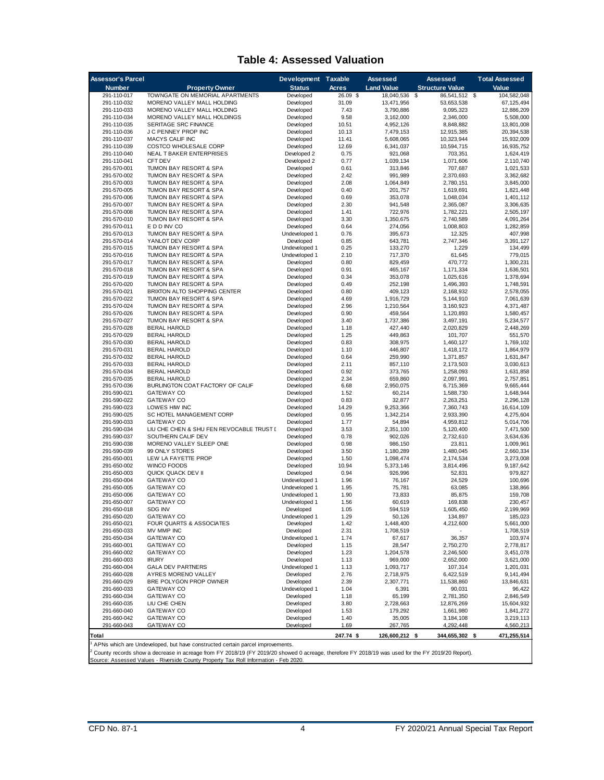#### **Table 4: Assessed Valuation**

<span id="page-7-0"></span>

| <b>Assessor's Parcel</b>   |                                                                               | Development Taxable            |              | <b>Assessed</b>        | Assessed               | <b>Total Assessed</b>   |
|----------------------------|-------------------------------------------------------------------------------|--------------------------------|--------------|------------------------|------------------------|-------------------------|
| <b>Number</b>              | <b>Property Owner</b>                                                         | <b>Status</b>                  | Acres        | <b>Land Value</b>      | <b>Structure Value</b> | Value                   |
| 291-110-017                | TOWNGATE ON MEMORIAL APARTMENTS                                               | Developed                      | 26.09 \$     | 18,040,536             | \$<br>86,541,512       | \$<br>104,582,048       |
| 291-110-032                | MORENO VALLEY MALL HOLDING                                                    | Developed                      | 31.09        | 13,471,956             | 53,653,538             | 67, 125, 494            |
| 291-110-033<br>291-110-034 | MORENO VALLEY MALL HOLDING<br>MORENO VALLEY MALL HOLDINGS                     | Developed<br>Developed         | 7.43<br>9.58 | 3,790,886<br>3,162,000 | 9,095,323<br>2,346,000 | 12,886,209<br>5,508,000 |
| 291-110-035                | SERITAGE SRC FINANCE                                                          | Developed                      | 10.51        | 4,952,126              | 8,848,882              | 13,801,008              |
| 291-110-036                | J C PENNEY PROP INC                                                           | Developed                      | 10.13        | 7,479,153              | 12,915,385             | 20,394,538              |
| 291-110-037                | <b>MACYS CALIF INC</b>                                                        | Developed                      | 11.41        | 5,608,065              | 10,323,944             | 15,932,009              |
| 291-110-039                | COSTCO WHOLESALE CORP                                                         | Developed                      | 12.69        | 6,341,037              | 10,594,715             | 16,935,752              |
| 291-110-040                | NEAL T BAKER ENTERPRISES                                                      | Developed 2                    | 0.75         | 921,068                | 703,351                | 1,624,419               |
| 291-110-041                | <b>CFT DEV</b>                                                                | Developed 2                    | 0.77         | 1,039,134              | 1,071,606              | 2,110,740               |
| 291-570-001                | TUMON BAY RESORT & SPA                                                        | Developed                      | 0.61         | 313,846                | 707,687                | 1,021,533               |
| 291-570-002<br>291-570-003 | TUMON BAY RESORT & SPA<br>TUMON BAY RESORT & SPA                              | Developed<br>Developed         | 2.42<br>2.08 | 991,989<br>1,064,849   | 2,370,693<br>2,780,151 | 3,362,682<br>3,845,000  |
| 291-570-005                | TUMON BAY RESORT & SPA                                                        | Developed                      | 0.40         | 201.757                | 1,619,691              | 1,821,448               |
| 291-570-006                | TUMON BAY RESORT & SPA                                                        | Developed                      | 0.69         | 353,078                | 1,048,034              | 1,401,112               |
| 291-570-007                | <b>TUMON BAY RESORT &amp; SPA</b>                                             | Developed                      | 2.30         | 941,548                | 2,365,087              | 3,306,635               |
| 291-570-008                | TUMON BAY RESORT & SPA                                                        | Developed                      | 1.41         | 722,976                | 1,782,221              | 2,505,197               |
| 291-570-010                | TUMON BAY RESORT & SPA                                                        | Developed                      | 3.30         | 1,350,675              | 2,740,589              | 4,091,264               |
| 291-570-011                | E D D INV CO                                                                  | Developed                      | 0.64         | 274,056                | 1,008,803              | 1,282,859               |
| 291-570-013<br>291-570-014 | TUMON BAY RESORT & SPA<br>YANLOT DEV CORP                                     | Undeveloped 1<br>Developed     | 0.76<br>0.85 | 395,673<br>643,781     | 12,325<br>2,747,346    | 407,998<br>3,391,127    |
| 291-570-015                | TUMON BAY RESORT & SPA                                                        | Undeveloped 1                  | 0.25         | 133,270                | 1,229                  | 134,499                 |
| 291-570-016                | TUMON BAY RESORT & SPA                                                        | Undeveloped 1                  | 2.10         | 717,370                | 61,645                 | 779,015                 |
| 291-570-017                | TUMON BAY RESORT & SPA                                                        | Developed                      | 0.80         | 829,459                | 470,772                | 1,300,231               |
| 291-570-018                | TUMON BAY RESORT & SPA                                                        | Developed                      | 0.91         | 465,167                | 1,171,334              | 1,636,501               |
| 291-570-019                | TUMON BAY RESORT & SPA                                                        | Developed                      | 0.34         | 353.078                | 1,025,616              | 1,378,694               |
| 291-570-020                | TUMON BAY RESORT & SPA                                                        | Developed                      | 0.49         | 252,198                | 1,496,393              | 1.748.591               |
| 291-570-021                | BRIXTON ALTO SHOPPING CENTER                                                  | Developed                      | 0.80         | 409,123                | 2,168,932              | 2,578,055               |
| 291-570-022<br>291-570-024 | TUMON BAY RESORT & SPA<br>TUMON BAY RESORT & SPA                              | Developed<br>Developed         | 4.69<br>2.96 | 1,916,729<br>1,210,564 | 5,144,910<br>3,160,923 | 7.061.639<br>4,371,487  |
| 291-570-026                | TUMON BAY RESORT & SPA                                                        | Developed                      | 0.90         | 459,564                | 1,120,893              | 1,580,457               |
| 291-570-027                | TUMON BAY RESORT & SPA                                                        | Developed                      | 3.40         | 1,737,386              | 3,497,191              | 5,234,577               |
| 291-570-028                | <b>BERAL HAROLD</b>                                                           | Developed                      | 1.18         | 427,440                | 2,020,829              | 2,448,269               |
| 291-570-029                | <b>BERAL HAROLD</b>                                                           | Developed                      | 1.25         | 449,863                | 101,707                | 551,570                 |
| 291-570-030                | <b>BERAL HAROLD</b>                                                           | Developed                      | 0.83         | 308,975                | 1,460,127              | 1,769,102               |
| 291-570-031                | <b>BERAL HAROLD</b>                                                           | Developed                      | 1.10         | 446,807                | 1,418,172              | 1,864,979               |
| 291-570-032                | <b>BERAL HAROLD</b>                                                           | Developed                      | 0.64         | 259.990                | 1,371,857              | 1,631,847               |
| 291-570-033<br>291-570-034 | <b>BERAL HAROLD</b><br><b>BERAL HAROLD</b>                                    | Developed<br>Developed         | 2.11<br>0.92 | 857,110<br>373,765     | 2,173,503<br>1,258,093 | 3,030,613<br>1,631,858  |
| 291-570-035                | <b>BERAL HAROLD</b>                                                           | Developed                      | 2.34         | 659,860                | 2,097,991              | 2,757,851               |
| 291-570-036                | BURLINGTON COAT FACTORY OF CALIF                                              | Developed                      | 6.68         | 2,950,075              | 6,715,369              | 9,665,444               |
| 291-590-021                | <b>GATEWAY CO</b>                                                             | Developed                      | 1.52         | 60,214                 | 1,588,730              | 1,648,944               |
| 291-590-022                | <b>GATEWAY CO</b>                                                             | Developed                      | 0.83         | 32,877                 | 2,263,251              | 2,296,128               |
| 291-590-023                | LOWES HIW INC                                                                 | Developed                      | 14.29        | 9,253,366              | 7,360,743              | 16,614,109              |
| 291-590-025                | SC HOTEL MANAGEMENT CORP                                                      | Developed                      | 0.95         | 1,342,214              | 2,933,390              | 4,275,604               |
| 291-590-033<br>291-590-034 | <b>GATEWAY CO</b><br>LIU CHE CHEN & SHU FEN REVOCABLE TRUST I                 | Developed<br>Developed         | 1.77<br>3.53 | 54,894<br>2,351,100    | 4,959,812<br>5,120,400 | 5,014,706<br>7,471,500  |
| 291-590-037                | SOUTHERN CALIF DEV                                                            | Developed                      | 0.78         | 902,026                | 2,732,610              | 3,634,636               |
| 291-590-038                | MORENO VALLEY SLEEP ONE                                                       | Developed                      | 0.98         | 986,150                | 23,811                 | 1,009,961               |
| 291-590-039                | 99 ONLY STORES                                                                | Developed                      | 3.50         | 1,180,289              | 1,480,045              | 2,660,334               |
| 291-650-001                | LEW LA FAYETTE PROP                                                           | Developed                      | 1.50         | 1,098,474              | 2,174,534              | 3.273.008               |
| 291-650-002                | <b>WINCO FOODS</b>                                                            | Developed                      | 10.94        | 5,373,146              | 3,814,496              | 9,187,642               |
| 291-650-003                | QUICK QUACK DEV II                                                            | Developed                      | 0.94         | 926,996                | 52,831                 | 979,827                 |
| 291-650-004                | <b>GATEWAY CO</b>                                                             | Undeveloped 1                  | 1.96         | 76,167                 | 24,529                 | 100,696                 |
| 291-650-005                | <b>GATEWAY CO</b><br><b>GATEWAY CO</b>                                        | Undeveloped 1                  | 1.95<br>1.90 | 75,781                 | 63,085                 | 138,866                 |
| 291-650-006<br>291-650-007 | <b>GATEWAY CO</b>                                                             | Undeveloped 1<br>Undeveloped 1 | 1.56         | 73,833<br>60,619       | 85,875<br>169,838      | 159,708<br>230,457      |
| 291-650-018                | <b>SDG INV</b>                                                                | Developed                      | 1.05         | 594,519                | 1,605,450              | 2,199,969               |
| 291-650-020                | GATEWAY CO                                                                    | Undeveloped 1                  | 1.29         | 50,126                 | 134,897                | 185,023                 |
| 291-650-021                | FOUR QUARTS & ASSOCIATES                                                      | Developed                      | 1.42         | 1,448,400              | 4,212,600              | 5,661,000               |
| 291-650-033                | MV MMP INC                                                                    | Developed                      | 2.31         | 1,708,519              |                        | 1,708,519               |
| 291-650-034                | <b>GATEWAY CO</b>                                                             | Undeveloped 1                  | 1.74         | 67,617                 | 36,357                 | 103,974                 |
| 291-660-001                | <b>GATEWAY CO</b>                                                             | Developed                      | 1.15         | 28,547                 | 2,750,270              | 2,778,817               |
| 291-660-002                | <b>GATEWAY CO</b>                                                             | Developed                      | 1.23         | 1,204,578              | 2,246,500              | 3,451,078               |
| 291-660-003<br>291-660-004 | <b>IRURY</b><br><b>GALA DEV PARTNERS</b>                                      | Developed<br>Undeveloped 1     | 1.13<br>1.13 | 969,000<br>1,093,717   | 2,652,000<br>107,314   | 3,621,000<br>1,201,031  |
| 291-660-028                | AYRES MORENO VALLEY                                                           | Developed                      | 2.76         | 2,718,975              | 6,422,519              | 9,141,494               |
| 291-660-029                | BRE POLYGON PROP OWNER                                                        | Developed                      | 2.39         | 2,307,771              | 11,538,860             | 13,846,631              |
| 291-660-033                | <b>GATEWAY CO</b>                                                             | Undeveloped 1                  | 1.04         | 6,391                  | 90,031                 | 96,422                  |
| 291-660-034                | <b>GATEWAY CO</b>                                                             | Developed                      | 1.18         | 65,199                 | 2,781,350              | 2,846,549               |
| 291-660-035                | LIU CHE CHEN                                                                  | Developed                      | 3.80         | 2,728,663              | 12,876,269             | 15,604,932              |
| 291-660-040                | GATEWAY CO                                                                    | Developed                      | 1.53         | 179,292                | 1,661,980              | 1,841,272               |
| 291-660-042<br>291-660-043 | <b>GATEWAY CO</b><br><b>GATEWAY CO</b>                                        | Developed<br>Developed         | 1.40<br>1.69 | 35,005<br>267,765      | 3,184,108<br>4,292,448 | 3,219,113<br>4,560,213  |
|                            |                                                                               |                                |              |                        |                        |                         |
| Total                      | APNs which are Undeveloped, but have constructed certain parcel improvements. |                                | 247.74 \$    | 126,600,212 \$         | 344,655,302 \$         | 471,255,514             |

' APNs which are Undeveloped, but have constructed certain parcel improvements.<br><sup>2</sup> County records show a decrease in acreage from FY 2018/19 (FY 2019/20 showed 0 acreage, therefore FY 2018/19 was used for the FY 2019/20 R

Source: Assessed Values - Riverside County Property Tax Roll Information - Feb 2020.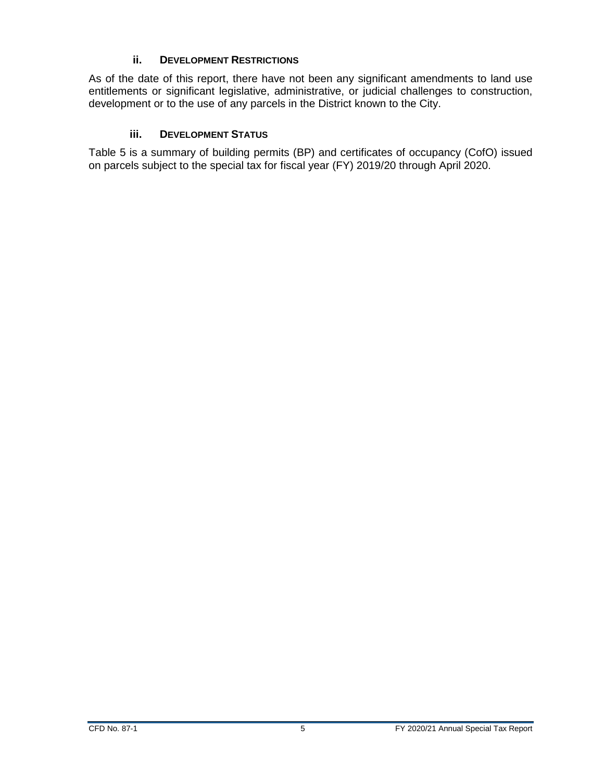#### **ii. DEVELOPMENT RESTRICTIONS**

<span id="page-8-0"></span>As of the date of this report, there have not been any significant amendments to land use entitlements or significant legislative, administrative, or judicial challenges to construction, development or to the use of any parcels in the District known to the City.

#### **iii. DEVELOPMENT STATUS**

<span id="page-8-1"></span>Table 5 is a summary of building permits (BP) and certificates of occupancy (CofO) issued on parcels subject to the special tax for fiscal year (FY) 2019/20 through April 2020.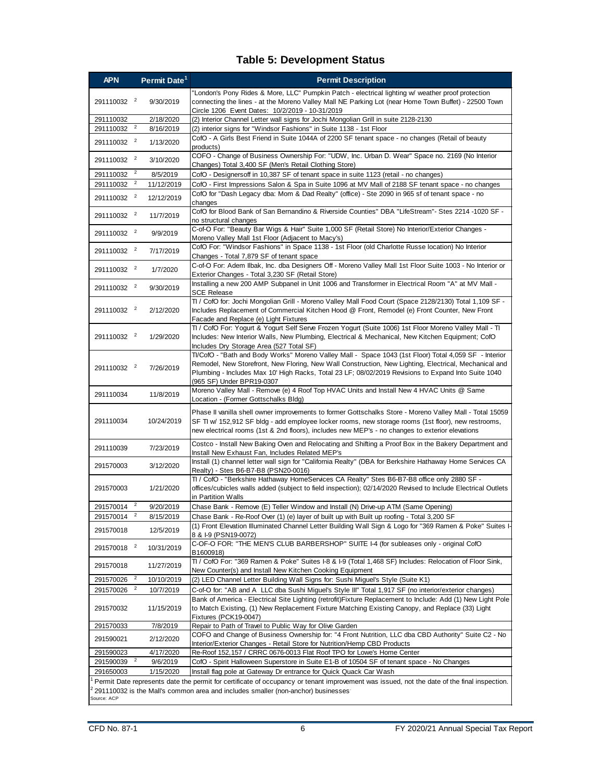#### **Table 5: Development Status**

<span id="page-9-0"></span>

| "London's Pony Rides & More, LLC" Pumpkin Patch - electrical lighting w/ weather proof protection<br>291110032 <sup>2</sup><br>connecting the lines - at the Moreno Valley Mall NE Parking Lot (near Home Town Buffet) - 22500 Town<br>9/30/2019<br>Circle 1206 Event Dates: 10/2/2019 - 10-31/2019<br>2/18/2020<br>(2) Interior Channel Letter wall signs for Jochi Mongolian Grill in suite 2128-2130<br>291110032<br>$\overline{a}$<br>291110032<br>8/16/2019<br>(2) interior signs for "Windsor Fashions" in Suite 1138 - 1st Floor<br>CofO - A Girls Best Friend in Suite 1044A of 2200 SF tenant space - no changes (Retail of beauty<br>291110032 <sup>2</sup><br>1/13/2020<br>products)<br>COFO - Change of Business Ownership For: "UDW, Inc. Urban D. Wear" Space no. 2169 (No Interior<br>291110032 <sup>2</sup><br>3/10/2020<br>Changes) Total 3,400 SF (Men's Retail Clothing Store)<br>$\overline{2}$<br>291110032<br>8/5/2019<br>CofO - Designersoff in 10,387 SF of tenant space in suite 1123 (retail - no changes)<br>$\overline{2}$<br>291110032<br>11/12/2019<br>CofO - First Impressions Salon & Spa in Suite 1096 at MV Mall of 2188 SF tenant space - no changes<br>CofO for "Dash Legacy dba: Mom & Dad Realty" (office) - Ste 2090 in 965 sf of tenant space - no<br>291110032 <sup>2</sup><br>12/12/2019<br>changes<br>CofO for Blood Bank of San Bernandino & Riverside Counties" DBA "LifeStream"- Stes 2214 -1020 SF -<br>291110032 <sup>2</sup><br>11/7/2019<br>no structural changes<br>C-of-O For: "Beauty Bar Wigs & Hair" Suite 1,000 SF (Retail Store) No Interior/Exterior Changes -<br>291110032 <sup>2</sup><br>9/9/2019<br>Moreno Valley Mall 1st Floor (Adjacent to Macy's)<br>CofO For: "Windsor Fashions" in Space 1138 - 1st Floor (old Charlotte Russe location) No Interior<br>291110032 <sup>2</sup><br>7/17/2019<br>Changes - Total 7,879 SF of tenant space<br>C-of-O For: Adem Ilbak, Inc. dba Designers Off - Moreno Valley Mall 1st Floor Suite 1003 - No Interior or<br>291110032 <sup>2</sup><br>1/7/2020<br>Exterior Changes - Total 3,230 SF (Retail Store)<br>Installing a new 200 AMP Subpanel in Unit 1006 and Transformer in Electrical Room "A" at MV Mall -<br>291110032 <sup>2</sup><br>9/30/2019<br><b>SCE Release</b><br>TI / CofO for: Jochi Mongolian Grill - Moreno Valley Mall Food Court (Space 2128/2130) Total 1,109 SF -<br>291110032 <sup>2</sup><br>Includes Replacement of Commercial Kitchen Hood @ Front, Remodel (e) Front Counter, New Front<br>2/12/2020<br>Facade and Replace (e) Light Fixtures<br>TI / CofO For: Yogurt & Yogurt Self Serve Frozen Yogurt (Suite 1006) 1st Floor Moreno Valley Mall - TI<br>291110032 <sup>2</sup><br>1/29/2020<br>Includes: New Interior Walls, New Plumbing, Electrical & Mechanical, New Kitchen Equipment; CofO<br>Includes Dry Storage Area (527 Total SF)<br>TI/CofO - "Bath and Body Works" Moreno Valley Mall - Space 1043 (1st Floor) Total 4,059 SF - Interior<br>Remodel, New Storefront, New Floring, New Wall Construction, New Lighting, Electrical, Mechanical and<br>291110032 <sup>2</sup><br>7/26/2019<br>Plumbing - Includes Max 10' High Racks, Total 23 LF; 08/02/2019 Revisions to Expand Into Suite 1040<br>(965 SF) Under BPR19-0307<br>Moreno Valley Mall - Remove (e) 4 Roof Top HVAC Units and Install New 4 HVAC Units @ Same<br>291110034<br>11/8/2019<br>Location - (Former Gottschalks Bldg)<br>Phase II vanilla shell owner improvements to former Gottschalks Store - Moreno Valley Mall - Total 15059<br>SF TI w/ 152,912 SF bldg - add employee locker rooms, new storage rooms (1st floor), new restrooms,<br>291110034<br>10/24/2019<br>new electrical rooms (1st & 2nd floors), includes new MEP's - no changes to exterior elevations<br>Costco - Install New Baking Oven and Relocating and Shifting a Proof Box in the Bakery Department and<br>291110039<br>7/23/2019<br>Install New Exhaust Fan, Includes Related MEP's<br>Install (1) channel letter wall sign for "California Realty" (DBA for Berkshire Hathaway Home Services CA<br>291570003<br>3/12/2020<br>Realty) - Stes B6-B7-B8 (PSN20-0016)<br>TI / CofO - "Berkshire Hathaway HomeServices CA Realty" Stes B6-B7-B8 office only 2880 SF -<br>offices/cubicles walls added (subject to field inspection); 02/14/2020 Revised to Include Electrical Outlets<br>291570003<br>1/21/2020<br>in Partition Walls<br>291570014 <sup>2</sup><br>Chase Bank - Remove (E) Teller Window and Install (N) Drive-up ATM (Same Opening)<br>9/20/2019<br>Chase Bank - Re-Roof Over (1) (e) layer of built up with Built up roofing - Total 3,200 SF<br>8/15/2019<br>291570014<br>(1) Front Elevation Illuminated Channel Letter Building Wall Sign & Logo for "369 Ramen & Poke" Suites I-<br>291570018<br>12/5/2019<br>8 & I-9 (PSN19-0072)<br>C-OF-O FOR: "THE MEN'S CLUB BARBERSHOP" SUITE I-4 (for subleases only - original CofO<br>291570018 <sup>2</sup><br>10/31/2019<br>B1600918)<br>TI / CofO For: "369 Ramen & Poke" Suites I-8 & I-9 (Total 1,468 SF) Includes: Relocation of Floor Sink,<br>291570018<br>11/27/2019<br>New Counter(s) and Install New Kitchen Cooking Equipment<br>$\overline{a}$<br>(2) LED Channel Letter Building Wall Signs for: Sushi Miguel's Style (Suite K1)<br>291570026<br>10/10/2019<br>$\overline{a}$<br>C-of-O for: "AB and A LLC dba Sushi Miguel's Style III" Total 1,917 SF (no interior/exterior changes)<br>291570026<br>10/7/2019<br>Bank of America - Electrical Site Lighting (retrofit) Fixture Replacement to Include: Add (1) New Light Pole<br>to Match Existing, (1) New Replacement Fixture Matching Existing Canopy, and Replace (33) Light<br>291570032<br>11/15/2019<br>Fixtures (PCK19-0047)<br>Repair to Path of Travel to Public Way for Olive Garden<br>7/8/2019<br>291570033<br>COFO and Change of Business Ownership for: "4 Front Nutrition, LLC dba CBD Authority" Suite C2 - No<br>291590021<br>2/12/2020<br>Interior/Exterior Changes - Retail Store for Nutrition/Hemp CBD Products<br>Re-Roof 152,157 / CRRC 0676-0013 Flat Roof TPO for Lowe's Home Center<br>291590023<br>4/17/2020<br>$\overline{a}$<br>291590039<br>9/6/2019<br>CofO - Spirit Halloween Superstore in Suite E1-B of 10504 SF of tenant space - No Changes<br>291650003<br>1/15/2020<br>Install flag pole at Gateway Dr entrance for Quick Quack Car Wash<br>Permit Date represents date the permit for certificate of occupancy or tenant improvement was issued, not the date of the final inspection.<br>291110032 is the Mall's common area and includes smaller (non-anchor) businesses<br>Source: ACP | <b>APN</b> | Permit Date <sup>1</sup> | <b>Permit Description</b> |
|-----------------------------------------------------------------------------------------------------------------------------------------------------------------------------------------------------------------------------------------------------------------------------------------------------------------------------------------------------------------------------------------------------------------------------------------------------------------------------------------------------------------------------------------------------------------------------------------------------------------------------------------------------------------------------------------------------------------------------------------------------------------------------------------------------------------------------------------------------------------------------------------------------------------------------------------------------------------------------------------------------------------------------------------------------------------------------------------------------------------------------------------------------------------------------------------------------------------------------------------------------------------------------------------------------------------------------------------------------------------------------------------------------------------------------------------------------------------------------------------------------------------------------------------------------------------------------------------------------------------------------------------------------------------------------------------------------------------------------------------------------------------------------------------------------------------------------------------------------------------------------------------------------------------------------------------------------------------------------------------------------------------------------------------------------------------------------------------------------------------------------------------------------------------------------------------------------------------------------------------------------------------------------------------------------------------------------------------------------------------------------------------------------------------------------------------------------------------------------------------------------------------------------------------------------------------------------------------------------------------------------------------------------------------------------------------------------------------------------------------------------------------------------------------------------------------------------------------------------------------------------------------------------------------------------------------------------------------------------------------------------------------------------------------------------------------------------------------------------------------------------------------------------------------------------------------------------------------------------------------------------------------------------------------------------------------------------------------------------------------------------------------------------------------------------------------------------------------------------------------------------------------------------------------------------------------------------------------------------------------------------------------------------------------------------------------------------------------------------------------------------------------------------------------------------------------------------------------------------------------------------------------------------------------------------------------------------------------------------------------------------------------------------------------------------------------------------------------------------------------------------------------------------------------------------------------------------------------------------------------------------------------------------------------------------------------------------------------------------------------------------------------------------------------------------------------------------------------------------------------------------------------------------------------------------------------------------------------------------------------------------------------------------------------------------------------------------------------------------------------------------------------------------------------------------------------------------------------------------------------------------------------------------------------------------------------------------------------------------------------------------------------------------------------------------------------------------------------------------------------------------------------------------------------------------------------------------------------------------------------------------------------------------------------------------------------------------------------------------------------------------------------------------------------------------------------------------------------------------------------------------------------------------------------------------------------------------------------------------------------------------------------------------------------------------------------------------------------------------------------------------------------------------------------------------------------------------------------------------------------------------------------------------------------------------------------------------------------------------------------------------------------------------------------------------------------------------------------------------------------------------------------------------------------------------------------------------------------------------------------------------------------------------------------------------------------------------------------------------------------------------------------------------------------------------------------------------------------------------------------------------------------------------------------------------------------------------------------------------------------------------------------------------------------|------------|--------------------------|---------------------------|
|                                                                                                                                                                                                                                                                                                                                                                                                                                                                                                                                                                                                                                                                                                                                                                                                                                                                                                                                                                                                                                                                                                                                                                                                                                                                                                                                                                                                                                                                                                                                                                                                                                                                                                                                                                                                                                                                                                                                                                                                                                                                                                                                                                                                                                                                                                                                                                                                                                                                                                                                                                                                                                                                                                                                                                                                                                                                                                                                                                                                                                                                                                                                                                                                                                                                                                                                                                                                                                                                                                                                                                                                                                                                                                                                                                                                                                                                                                                                                                                                                                                                                                                                                                                                                                                                                                                                                                                                                                                                                                                                                                                                                                                                                                                                                                                                                                                                                                                                                                                                                                                                                                                                                                                                                                                                                                                                                                                                                                                                                                                                                                                                                                                                                                                                                                                                                                                                                                                                                                                                                                                                                                                                                                                                                                                                                                                                                                                                                                                                                                                                                                                                                                                                 |            |                          |                           |
|                                                                                                                                                                                                                                                                                                                                                                                                                                                                                                                                                                                                                                                                                                                                                                                                                                                                                                                                                                                                                                                                                                                                                                                                                                                                                                                                                                                                                                                                                                                                                                                                                                                                                                                                                                                                                                                                                                                                                                                                                                                                                                                                                                                                                                                                                                                                                                                                                                                                                                                                                                                                                                                                                                                                                                                                                                                                                                                                                                                                                                                                                                                                                                                                                                                                                                                                                                                                                                                                                                                                                                                                                                                                                                                                                                                                                                                                                                                                                                                                                                                                                                                                                                                                                                                                                                                                                                                                                                                                                                                                                                                                                                                                                                                                                                                                                                                                                                                                                                                                                                                                                                                                                                                                                                                                                                                                                                                                                                                                                                                                                                                                                                                                                                                                                                                                                                                                                                                                                                                                                                                                                                                                                                                                                                                                                                                                                                                                                                                                                                                                                                                                                                                                 |            |                          |                           |
|                                                                                                                                                                                                                                                                                                                                                                                                                                                                                                                                                                                                                                                                                                                                                                                                                                                                                                                                                                                                                                                                                                                                                                                                                                                                                                                                                                                                                                                                                                                                                                                                                                                                                                                                                                                                                                                                                                                                                                                                                                                                                                                                                                                                                                                                                                                                                                                                                                                                                                                                                                                                                                                                                                                                                                                                                                                                                                                                                                                                                                                                                                                                                                                                                                                                                                                                                                                                                                                                                                                                                                                                                                                                                                                                                                                                                                                                                                                                                                                                                                                                                                                                                                                                                                                                                                                                                                                                                                                                                                                                                                                                                                                                                                                                                                                                                                                                                                                                                                                                                                                                                                                                                                                                                                                                                                                                                                                                                                                                                                                                                                                                                                                                                                                                                                                                                                                                                                                                                                                                                                                                                                                                                                                                                                                                                                                                                                                                                                                                                                                                                                                                                                                                 |            |                          |                           |
|                                                                                                                                                                                                                                                                                                                                                                                                                                                                                                                                                                                                                                                                                                                                                                                                                                                                                                                                                                                                                                                                                                                                                                                                                                                                                                                                                                                                                                                                                                                                                                                                                                                                                                                                                                                                                                                                                                                                                                                                                                                                                                                                                                                                                                                                                                                                                                                                                                                                                                                                                                                                                                                                                                                                                                                                                                                                                                                                                                                                                                                                                                                                                                                                                                                                                                                                                                                                                                                                                                                                                                                                                                                                                                                                                                                                                                                                                                                                                                                                                                                                                                                                                                                                                                                                                                                                                                                                                                                                                                                                                                                                                                                                                                                                                                                                                                                                                                                                                                                                                                                                                                                                                                                                                                                                                                                                                                                                                                                                                                                                                                                                                                                                                                                                                                                                                                                                                                                                                                                                                                                                                                                                                                                                                                                                                                                                                                                                                                                                                                                                                                                                                                                                 |            |                          |                           |
|                                                                                                                                                                                                                                                                                                                                                                                                                                                                                                                                                                                                                                                                                                                                                                                                                                                                                                                                                                                                                                                                                                                                                                                                                                                                                                                                                                                                                                                                                                                                                                                                                                                                                                                                                                                                                                                                                                                                                                                                                                                                                                                                                                                                                                                                                                                                                                                                                                                                                                                                                                                                                                                                                                                                                                                                                                                                                                                                                                                                                                                                                                                                                                                                                                                                                                                                                                                                                                                                                                                                                                                                                                                                                                                                                                                                                                                                                                                                                                                                                                                                                                                                                                                                                                                                                                                                                                                                                                                                                                                                                                                                                                                                                                                                                                                                                                                                                                                                                                                                                                                                                                                                                                                                                                                                                                                                                                                                                                                                                                                                                                                                                                                                                                                                                                                                                                                                                                                                                                                                                                                                                                                                                                                                                                                                                                                                                                                                                                                                                                                                                                                                                                                                 |            |                          |                           |
|                                                                                                                                                                                                                                                                                                                                                                                                                                                                                                                                                                                                                                                                                                                                                                                                                                                                                                                                                                                                                                                                                                                                                                                                                                                                                                                                                                                                                                                                                                                                                                                                                                                                                                                                                                                                                                                                                                                                                                                                                                                                                                                                                                                                                                                                                                                                                                                                                                                                                                                                                                                                                                                                                                                                                                                                                                                                                                                                                                                                                                                                                                                                                                                                                                                                                                                                                                                                                                                                                                                                                                                                                                                                                                                                                                                                                                                                                                                                                                                                                                                                                                                                                                                                                                                                                                                                                                                                                                                                                                                                                                                                                                                                                                                                                                                                                                                                                                                                                                                                                                                                                                                                                                                                                                                                                                                                                                                                                                                                                                                                                                                                                                                                                                                                                                                                                                                                                                                                                                                                                                                                                                                                                                                                                                                                                                                                                                                                                                                                                                                                                                                                                                                                 |            |                          |                           |
|                                                                                                                                                                                                                                                                                                                                                                                                                                                                                                                                                                                                                                                                                                                                                                                                                                                                                                                                                                                                                                                                                                                                                                                                                                                                                                                                                                                                                                                                                                                                                                                                                                                                                                                                                                                                                                                                                                                                                                                                                                                                                                                                                                                                                                                                                                                                                                                                                                                                                                                                                                                                                                                                                                                                                                                                                                                                                                                                                                                                                                                                                                                                                                                                                                                                                                                                                                                                                                                                                                                                                                                                                                                                                                                                                                                                                                                                                                                                                                                                                                                                                                                                                                                                                                                                                                                                                                                                                                                                                                                                                                                                                                                                                                                                                                                                                                                                                                                                                                                                                                                                                                                                                                                                                                                                                                                                                                                                                                                                                                                                                                                                                                                                                                                                                                                                                                                                                                                                                                                                                                                                                                                                                                                                                                                                                                                                                                                                                                                                                                                                                                                                                                                                 |            |                          |                           |
|                                                                                                                                                                                                                                                                                                                                                                                                                                                                                                                                                                                                                                                                                                                                                                                                                                                                                                                                                                                                                                                                                                                                                                                                                                                                                                                                                                                                                                                                                                                                                                                                                                                                                                                                                                                                                                                                                                                                                                                                                                                                                                                                                                                                                                                                                                                                                                                                                                                                                                                                                                                                                                                                                                                                                                                                                                                                                                                                                                                                                                                                                                                                                                                                                                                                                                                                                                                                                                                                                                                                                                                                                                                                                                                                                                                                                                                                                                                                                                                                                                                                                                                                                                                                                                                                                                                                                                                                                                                                                                                                                                                                                                                                                                                                                                                                                                                                                                                                                                                                                                                                                                                                                                                                                                                                                                                                                                                                                                                                                                                                                                                                                                                                                                                                                                                                                                                                                                                                                                                                                                                                                                                                                                                                                                                                                                                                                                                                                                                                                                                                                                                                                                                                 |            |                          |                           |
|                                                                                                                                                                                                                                                                                                                                                                                                                                                                                                                                                                                                                                                                                                                                                                                                                                                                                                                                                                                                                                                                                                                                                                                                                                                                                                                                                                                                                                                                                                                                                                                                                                                                                                                                                                                                                                                                                                                                                                                                                                                                                                                                                                                                                                                                                                                                                                                                                                                                                                                                                                                                                                                                                                                                                                                                                                                                                                                                                                                                                                                                                                                                                                                                                                                                                                                                                                                                                                                                                                                                                                                                                                                                                                                                                                                                                                                                                                                                                                                                                                                                                                                                                                                                                                                                                                                                                                                                                                                                                                                                                                                                                                                                                                                                                                                                                                                                                                                                                                                                                                                                                                                                                                                                                                                                                                                                                                                                                                                                                                                                                                                                                                                                                                                                                                                                                                                                                                                                                                                                                                                                                                                                                                                                                                                                                                                                                                                                                                                                                                                                                                                                                                                                 |            |                          |                           |
|                                                                                                                                                                                                                                                                                                                                                                                                                                                                                                                                                                                                                                                                                                                                                                                                                                                                                                                                                                                                                                                                                                                                                                                                                                                                                                                                                                                                                                                                                                                                                                                                                                                                                                                                                                                                                                                                                                                                                                                                                                                                                                                                                                                                                                                                                                                                                                                                                                                                                                                                                                                                                                                                                                                                                                                                                                                                                                                                                                                                                                                                                                                                                                                                                                                                                                                                                                                                                                                                                                                                                                                                                                                                                                                                                                                                                                                                                                                                                                                                                                                                                                                                                                                                                                                                                                                                                                                                                                                                                                                                                                                                                                                                                                                                                                                                                                                                                                                                                                                                                                                                                                                                                                                                                                                                                                                                                                                                                                                                                                                                                                                                                                                                                                                                                                                                                                                                                                                                                                                                                                                                                                                                                                                                                                                                                                                                                                                                                                                                                                                                                                                                                                                                 |            |                          |                           |
|                                                                                                                                                                                                                                                                                                                                                                                                                                                                                                                                                                                                                                                                                                                                                                                                                                                                                                                                                                                                                                                                                                                                                                                                                                                                                                                                                                                                                                                                                                                                                                                                                                                                                                                                                                                                                                                                                                                                                                                                                                                                                                                                                                                                                                                                                                                                                                                                                                                                                                                                                                                                                                                                                                                                                                                                                                                                                                                                                                                                                                                                                                                                                                                                                                                                                                                                                                                                                                                                                                                                                                                                                                                                                                                                                                                                                                                                                                                                                                                                                                                                                                                                                                                                                                                                                                                                                                                                                                                                                                                                                                                                                                                                                                                                                                                                                                                                                                                                                                                                                                                                                                                                                                                                                                                                                                                                                                                                                                                                                                                                                                                                                                                                                                                                                                                                                                                                                                                                                                                                                                                                                                                                                                                                                                                                                                                                                                                                                                                                                                                                                                                                                                                                 |            |                          |                           |
|                                                                                                                                                                                                                                                                                                                                                                                                                                                                                                                                                                                                                                                                                                                                                                                                                                                                                                                                                                                                                                                                                                                                                                                                                                                                                                                                                                                                                                                                                                                                                                                                                                                                                                                                                                                                                                                                                                                                                                                                                                                                                                                                                                                                                                                                                                                                                                                                                                                                                                                                                                                                                                                                                                                                                                                                                                                                                                                                                                                                                                                                                                                                                                                                                                                                                                                                                                                                                                                                                                                                                                                                                                                                                                                                                                                                                                                                                                                                                                                                                                                                                                                                                                                                                                                                                                                                                                                                                                                                                                                                                                                                                                                                                                                                                                                                                                                                                                                                                                                                                                                                                                                                                                                                                                                                                                                                                                                                                                                                                                                                                                                                                                                                                                                                                                                                                                                                                                                                                                                                                                                                                                                                                                                                                                                                                                                                                                                                                                                                                                                                                                                                                                                                 |            |                          |                           |
|                                                                                                                                                                                                                                                                                                                                                                                                                                                                                                                                                                                                                                                                                                                                                                                                                                                                                                                                                                                                                                                                                                                                                                                                                                                                                                                                                                                                                                                                                                                                                                                                                                                                                                                                                                                                                                                                                                                                                                                                                                                                                                                                                                                                                                                                                                                                                                                                                                                                                                                                                                                                                                                                                                                                                                                                                                                                                                                                                                                                                                                                                                                                                                                                                                                                                                                                                                                                                                                                                                                                                                                                                                                                                                                                                                                                                                                                                                                                                                                                                                                                                                                                                                                                                                                                                                                                                                                                                                                                                                                                                                                                                                                                                                                                                                                                                                                                                                                                                                                                                                                                                                                                                                                                                                                                                                                                                                                                                                                                                                                                                                                                                                                                                                                                                                                                                                                                                                                                                                                                                                                                                                                                                                                                                                                                                                                                                                                                                                                                                                                                                                                                                                                                 |            |                          |                           |
|                                                                                                                                                                                                                                                                                                                                                                                                                                                                                                                                                                                                                                                                                                                                                                                                                                                                                                                                                                                                                                                                                                                                                                                                                                                                                                                                                                                                                                                                                                                                                                                                                                                                                                                                                                                                                                                                                                                                                                                                                                                                                                                                                                                                                                                                                                                                                                                                                                                                                                                                                                                                                                                                                                                                                                                                                                                                                                                                                                                                                                                                                                                                                                                                                                                                                                                                                                                                                                                                                                                                                                                                                                                                                                                                                                                                                                                                                                                                                                                                                                                                                                                                                                                                                                                                                                                                                                                                                                                                                                                                                                                                                                                                                                                                                                                                                                                                                                                                                                                                                                                                                                                                                                                                                                                                                                                                                                                                                                                                                                                                                                                                                                                                                                                                                                                                                                                                                                                                                                                                                                                                                                                                                                                                                                                                                                                                                                                                                                                                                                                                                                                                                                                                 |            |                          |                           |
|                                                                                                                                                                                                                                                                                                                                                                                                                                                                                                                                                                                                                                                                                                                                                                                                                                                                                                                                                                                                                                                                                                                                                                                                                                                                                                                                                                                                                                                                                                                                                                                                                                                                                                                                                                                                                                                                                                                                                                                                                                                                                                                                                                                                                                                                                                                                                                                                                                                                                                                                                                                                                                                                                                                                                                                                                                                                                                                                                                                                                                                                                                                                                                                                                                                                                                                                                                                                                                                                                                                                                                                                                                                                                                                                                                                                                                                                                                                                                                                                                                                                                                                                                                                                                                                                                                                                                                                                                                                                                                                                                                                                                                                                                                                                                                                                                                                                                                                                                                                                                                                                                                                                                                                                                                                                                                                                                                                                                                                                                                                                                                                                                                                                                                                                                                                                                                                                                                                                                                                                                                                                                                                                                                                                                                                                                                                                                                                                                                                                                                                                                                                                                                                                 |            |                          |                           |
|                                                                                                                                                                                                                                                                                                                                                                                                                                                                                                                                                                                                                                                                                                                                                                                                                                                                                                                                                                                                                                                                                                                                                                                                                                                                                                                                                                                                                                                                                                                                                                                                                                                                                                                                                                                                                                                                                                                                                                                                                                                                                                                                                                                                                                                                                                                                                                                                                                                                                                                                                                                                                                                                                                                                                                                                                                                                                                                                                                                                                                                                                                                                                                                                                                                                                                                                                                                                                                                                                                                                                                                                                                                                                                                                                                                                                                                                                                                                                                                                                                                                                                                                                                                                                                                                                                                                                                                                                                                                                                                                                                                                                                                                                                                                                                                                                                                                                                                                                                                                                                                                                                                                                                                                                                                                                                                                                                                                                                                                                                                                                                                                                                                                                                                                                                                                                                                                                                                                                                                                                                                                                                                                                                                                                                                                                                                                                                                                                                                                                                                                                                                                                                                                 |            |                          |                           |
|                                                                                                                                                                                                                                                                                                                                                                                                                                                                                                                                                                                                                                                                                                                                                                                                                                                                                                                                                                                                                                                                                                                                                                                                                                                                                                                                                                                                                                                                                                                                                                                                                                                                                                                                                                                                                                                                                                                                                                                                                                                                                                                                                                                                                                                                                                                                                                                                                                                                                                                                                                                                                                                                                                                                                                                                                                                                                                                                                                                                                                                                                                                                                                                                                                                                                                                                                                                                                                                                                                                                                                                                                                                                                                                                                                                                                                                                                                                                                                                                                                                                                                                                                                                                                                                                                                                                                                                                                                                                                                                                                                                                                                                                                                                                                                                                                                                                                                                                                                                                                                                                                                                                                                                                                                                                                                                                                                                                                                                                                                                                                                                                                                                                                                                                                                                                                                                                                                                                                                                                                                                                                                                                                                                                                                                                                                                                                                                                                                                                                                                                                                                                                                                                 |            |                          |                           |
|                                                                                                                                                                                                                                                                                                                                                                                                                                                                                                                                                                                                                                                                                                                                                                                                                                                                                                                                                                                                                                                                                                                                                                                                                                                                                                                                                                                                                                                                                                                                                                                                                                                                                                                                                                                                                                                                                                                                                                                                                                                                                                                                                                                                                                                                                                                                                                                                                                                                                                                                                                                                                                                                                                                                                                                                                                                                                                                                                                                                                                                                                                                                                                                                                                                                                                                                                                                                                                                                                                                                                                                                                                                                                                                                                                                                                                                                                                                                                                                                                                                                                                                                                                                                                                                                                                                                                                                                                                                                                                                                                                                                                                                                                                                                                                                                                                                                                                                                                                                                                                                                                                                                                                                                                                                                                                                                                                                                                                                                                                                                                                                                                                                                                                                                                                                                                                                                                                                                                                                                                                                                                                                                                                                                                                                                                                                                                                                                                                                                                                                                                                                                                                                                 |            |                          |                           |
|                                                                                                                                                                                                                                                                                                                                                                                                                                                                                                                                                                                                                                                                                                                                                                                                                                                                                                                                                                                                                                                                                                                                                                                                                                                                                                                                                                                                                                                                                                                                                                                                                                                                                                                                                                                                                                                                                                                                                                                                                                                                                                                                                                                                                                                                                                                                                                                                                                                                                                                                                                                                                                                                                                                                                                                                                                                                                                                                                                                                                                                                                                                                                                                                                                                                                                                                                                                                                                                                                                                                                                                                                                                                                                                                                                                                                                                                                                                                                                                                                                                                                                                                                                                                                                                                                                                                                                                                                                                                                                                                                                                                                                                                                                                                                                                                                                                                                                                                                                                                                                                                                                                                                                                                                                                                                                                                                                                                                                                                                                                                                                                                                                                                                                                                                                                                                                                                                                                                                                                                                                                                                                                                                                                                                                                                                                                                                                                                                                                                                                                                                                                                                                                                 |            |                          |                           |
|                                                                                                                                                                                                                                                                                                                                                                                                                                                                                                                                                                                                                                                                                                                                                                                                                                                                                                                                                                                                                                                                                                                                                                                                                                                                                                                                                                                                                                                                                                                                                                                                                                                                                                                                                                                                                                                                                                                                                                                                                                                                                                                                                                                                                                                                                                                                                                                                                                                                                                                                                                                                                                                                                                                                                                                                                                                                                                                                                                                                                                                                                                                                                                                                                                                                                                                                                                                                                                                                                                                                                                                                                                                                                                                                                                                                                                                                                                                                                                                                                                                                                                                                                                                                                                                                                                                                                                                                                                                                                                                                                                                                                                                                                                                                                                                                                                                                                                                                                                                                                                                                                                                                                                                                                                                                                                                                                                                                                                                                                                                                                                                                                                                                                                                                                                                                                                                                                                                                                                                                                                                                                                                                                                                                                                                                                                                                                                                                                                                                                                                                                                                                                                                                 |            |                          |                           |
|                                                                                                                                                                                                                                                                                                                                                                                                                                                                                                                                                                                                                                                                                                                                                                                                                                                                                                                                                                                                                                                                                                                                                                                                                                                                                                                                                                                                                                                                                                                                                                                                                                                                                                                                                                                                                                                                                                                                                                                                                                                                                                                                                                                                                                                                                                                                                                                                                                                                                                                                                                                                                                                                                                                                                                                                                                                                                                                                                                                                                                                                                                                                                                                                                                                                                                                                                                                                                                                                                                                                                                                                                                                                                                                                                                                                                                                                                                                                                                                                                                                                                                                                                                                                                                                                                                                                                                                                                                                                                                                                                                                                                                                                                                                                                                                                                                                                                                                                                                                                                                                                                                                                                                                                                                                                                                                                                                                                                                                                                                                                                                                                                                                                                                                                                                                                                                                                                                                                                                                                                                                                                                                                                                                                                                                                                                                                                                                                                                                                                                                                                                                                                                                                 |            |                          |                           |
|                                                                                                                                                                                                                                                                                                                                                                                                                                                                                                                                                                                                                                                                                                                                                                                                                                                                                                                                                                                                                                                                                                                                                                                                                                                                                                                                                                                                                                                                                                                                                                                                                                                                                                                                                                                                                                                                                                                                                                                                                                                                                                                                                                                                                                                                                                                                                                                                                                                                                                                                                                                                                                                                                                                                                                                                                                                                                                                                                                                                                                                                                                                                                                                                                                                                                                                                                                                                                                                                                                                                                                                                                                                                                                                                                                                                                                                                                                                                                                                                                                                                                                                                                                                                                                                                                                                                                                                                                                                                                                                                                                                                                                                                                                                                                                                                                                                                                                                                                                                                                                                                                                                                                                                                                                                                                                                                                                                                                                                                                                                                                                                                                                                                                                                                                                                                                                                                                                                                                                                                                                                                                                                                                                                                                                                                                                                                                                                                                                                                                                                                                                                                                                                                 |            |                          |                           |
|                                                                                                                                                                                                                                                                                                                                                                                                                                                                                                                                                                                                                                                                                                                                                                                                                                                                                                                                                                                                                                                                                                                                                                                                                                                                                                                                                                                                                                                                                                                                                                                                                                                                                                                                                                                                                                                                                                                                                                                                                                                                                                                                                                                                                                                                                                                                                                                                                                                                                                                                                                                                                                                                                                                                                                                                                                                                                                                                                                                                                                                                                                                                                                                                                                                                                                                                                                                                                                                                                                                                                                                                                                                                                                                                                                                                                                                                                                                                                                                                                                                                                                                                                                                                                                                                                                                                                                                                                                                                                                                                                                                                                                                                                                                                                                                                                                                                                                                                                                                                                                                                                                                                                                                                                                                                                                                                                                                                                                                                                                                                                                                                                                                                                                                                                                                                                                                                                                                                                                                                                                                                                                                                                                                                                                                                                                                                                                                                                                                                                                                                                                                                                                                                 |            |                          |                           |
|                                                                                                                                                                                                                                                                                                                                                                                                                                                                                                                                                                                                                                                                                                                                                                                                                                                                                                                                                                                                                                                                                                                                                                                                                                                                                                                                                                                                                                                                                                                                                                                                                                                                                                                                                                                                                                                                                                                                                                                                                                                                                                                                                                                                                                                                                                                                                                                                                                                                                                                                                                                                                                                                                                                                                                                                                                                                                                                                                                                                                                                                                                                                                                                                                                                                                                                                                                                                                                                                                                                                                                                                                                                                                                                                                                                                                                                                                                                                                                                                                                                                                                                                                                                                                                                                                                                                                                                                                                                                                                                                                                                                                                                                                                                                                                                                                                                                                                                                                                                                                                                                                                                                                                                                                                                                                                                                                                                                                                                                                                                                                                                                                                                                                                                                                                                                                                                                                                                                                                                                                                                                                                                                                                                                                                                                                                                                                                                                                                                                                                                                                                                                                                                                 |            |                          |                           |
|                                                                                                                                                                                                                                                                                                                                                                                                                                                                                                                                                                                                                                                                                                                                                                                                                                                                                                                                                                                                                                                                                                                                                                                                                                                                                                                                                                                                                                                                                                                                                                                                                                                                                                                                                                                                                                                                                                                                                                                                                                                                                                                                                                                                                                                                                                                                                                                                                                                                                                                                                                                                                                                                                                                                                                                                                                                                                                                                                                                                                                                                                                                                                                                                                                                                                                                                                                                                                                                                                                                                                                                                                                                                                                                                                                                                                                                                                                                                                                                                                                                                                                                                                                                                                                                                                                                                                                                                                                                                                                                                                                                                                                                                                                                                                                                                                                                                                                                                                                                                                                                                                                                                                                                                                                                                                                                                                                                                                                                                                                                                                                                                                                                                                                                                                                                                                                                                                                                                                                                                                                                                                                                                                                                                                                                                                                                                                                                                                                                                                                                                                                                                                                                                 |            |                          |                           |
|                                                                                                                                                                                                                                                                                                                                                                                                                                                                                                                                                                                                                                                                                                                                                                                                                                                                                                                                                                                                                                                                                                                                                                                                                                                                                                                                                                                                                                                                                                                                                                                                                                                                                                                                                                                                                                                                                                                                                                                                                                                                                                                                                                                                                                                                                                                                                                                                                                                                                                                                                                                                                                                                                                                                                                                                                                                                                                                                                                                                                                                                                                                                                                                                                                                                                                                                                                                                                                                                                                                                                                                                                                                                                                                                                                                                                                                                                                                                                                                                                                                                                                                                                                                                                                                                                                                                                                                                                                                                                                                                                                                                                                                                                                                                                                                                                                                                                                                                                                                                                                                                                                                                                                                                                                                                                                                                                                                                                                                                                                                                                                                                                                                                                                                                                                                                                                                                                                                                                                                                                                                                                                                                                                                                                                                                                                                                                                                                                                                                                                                                                                                                                                                                 |            |                          |                           |
|                                                                                                                                                                                                                                                                                                                                                                                                                                                                                                                                                                                                                                                                                                                                                                                                                                                                                                                                                                                                                                                                                                                                                                                                                                                                                                                                                                                                                                                                                                                                                                                                                                                                                                                                                                                                                                                                                                                                                                                                                                                                                                                                                                                                                                                                                                                                                                                                                                                                                                                                                                                                                                                                                                                                                                                                                                                                                                                                                                                                                                                                                                                                                                                                                                                                                                                                                                                                                                                                                                                                                                                                                                                                                                                                                                                                                                                                                                                                                                                                                                                                                                                                                                                                                                                                                                                                                                                                                                                                                                                                                                                                                                                                                                                                                                                                                                                                                                                                                                                                                                                                                                                                                                                                                                                                                                                                                                                                                                                                                                                                                                                                                                                                                                                                                                                                                                                                                                                                                                                                                                                                                                                                                                                                                                                                                                                                                                                                                                                                                                                                                                                                                                                                 |            |                          |                           |
|                                                                                                                                                                                                                                                                                                                                                                                                                                                                                                                                                                                                                                                                                                                                                                                                                                                                                                                                                                                                                                                                                                                                                                                                                                                                                                                                                                                                                                                                                                                                                                                                                                                                                                                                                                                                                                                                                                                                                                                                                                                                                                                                                                                                                                                                                                                                                                                                                                                                                                                                                                                                                                                                                                                                                                                                                                                                                                                                                                                                                                                                                                                                                                                                                                                                                                                                                                                                                                                                                                                                                                                                                                                                                                                                                                                                                                                                                                                                                                                                                                                                                                                                                                                                                                                                                                                                                                                                                                                                                                                                                                                                                                                                                                                                                                                                                                                                                                                                                                                                                                                                                                                                                                                                                                                                                                                                                                                                                                                                                                                                                                                                                                                                                                                                                                                                                                                                                                                                                                                                                                                                                                                                                                                                                                                                                                                                                                                                                                                                                                                                                                                                                                                                 |            |                          |                           |
|                                                                                                                                                                                                                                                                                                                                                                                                                                                                                                                                                                                                                                                                                                                                                                                                                                                                                                                                                                                                                                                                                                                                                                                                                                                                                                                                                                                                                                                                                                                                                                                                                                                                                                                                                                                                                                                                                                                                                                                                                                                                                                                                                                                                                                                                                                                                                                                                                                                                                                                                                                                                                                                                                                                                                                                                                                                                                                                                                                                                                                                                                                                                                                                                                                                                                                                                                                                                                                                                                                                                                                                                                                                                                                                                                                                                                                                                                                                                                                                                                                                                                                                                                                                                                                                                                                                                                                                                                                                                                                                                                                                                                                                                                                                                                                                                                                                                                                                                                                                                                                                                                                                                                                                                                                                                                                                                                                                                                                                                                                                                                                                                                                                                                                                                                                                                                                                                                                                                                                                                                                                                                                                                                                                                                                                                                                                                                                                                                                                                                                                                                                                                                                                                 |            |                          |                           |
|                                                                                                                                                                                                                                                                                                                                                                                                                                                                                                                                                                                                                                                                                                                                                                                                                                                                                                                                                                                                                                                                                                                                                                                                                                                                                                                                                                                                                                                                                                                                                                                                                                                                                                                                                                                                                                                                                                                                                                                                                                                                                                                                                                                                                                                                                                                                                                                                                                                                                                                                                                                                                                                                                                                                                                                                                                                                                                                                                                                                                                                                                                                                                                                                                                                                                                                                                                                                                                                                                                                                                                                                                                                                                                                                                                                                                                                                                                                                                                                                                                                                                                                                                                                                                                                                                                                                                                                                                                                                                                                                                                                                                                                                                                                                                                                                                                                                                                                                                                                                                                                                                                                                                                                                                                                                                                                                                                                                                                                                                                                                                                                                                                                                                                                                                                                                                                                                                                                                                                                                                                                                                                                                                                                                                                                                                                                                                                                                                                                                                                                                                                                                                                                                 |            |                          |                           |
|                                                                                                                                                                                                                                                                                                                                                                                                                                                                                                                                                                                                                                                                                                                                                                                                                                                                                                                                                                                                                                                                                                                                                                                                                                                                                                                                                                                                                                                                                                                                                                                                                                                                                                                                                                                                                                                                                                                                                                                                                                                                                                                                                                                                                                                                                                                                                                                                                                                                                                                                                                                                                                                                                                                                                                                                                                                                                                                                                                                                                                                                                                                                                                                                                                                                                                                                                                                                                                                                                                                                                                                                                                                                                                                                                                                                                                                                                                                                                                                                                                                                                                                                                                                                                                                                                                                                                                                                                                                                                                                                                                                                                                                                                                                                                                                                                                                                                                                                                                                                                                                                                                                                                                                                                                                                                                                                                                                                                                                                                                                                                                                                                                                                                                                                                                                                                                                                                                                                                                                                                                                                                                                                                                                                                                                                                                                                                                                                                                                                                                                                                                                                                                                                 |            |                          |                           |
|                                                                                                                                                                                                                                                                                                                                                                                                                                                                                                                                                                                                                                                                                                                                                                                                                                                                                                                                                                                                                                                                                                                                                                                                                                                                                                                                                                                                                                                                                                                                                                                                                                                                                                                                                                                                                                                                                                                                                                                                                                                                                                                                                                                                                                                                                                                                                                                                                                                                                                                                                                                                                                                                                                                                                                                                                                                                                                                                                                                                                                                                                                                                                                                                                                                                                                                                                                                                                                                                                                                                                                                                                                                                                                                                                                                                                                                                                                                                                                                                                                                                                                                                                                                                                                                                                                                                                                                                                                                                                                                                                                                                                                                                                                                                                                                                                                                                                                                                                                                                                                                                                                                                                                                                                                                                                                                                                                                                                                                                                                                                                                                                                                                                                                                                                                                                                                                                                                                                                                                                                                                                                                                                                                                                                                                                                                                                                                                                                                                                                                                                                                                                                                                                 |            |                          |                           |
|                                                                                                                                                                                                                                                                                                                                                                                                                                                                                                                                                                                                                                                                                                                                                                                                                                                                                                                                                                                                                                                                                                                                                                                                                                                                                                                                                                                                                                                                                                                                                                                                                                                                                                                                                                                                                                                                                                                                                                                                                                                                                                                                                                                                                                                                                                                                                                                                                                                                                                                                                                                                                                                                                                                                                                                                                                                                                                                                                                                                                                                                                                                                                                                                                                                                                                                                                                                                                                                                                                                                                                                                                                                                                                                                                                                                                                                                                                                                                                                                                                                                                                                                                                                                                                                                                                                                                                                                                                                                                                                                                                                                                                                                                                                                                                                                                                                                                                                                                                                                                                                                                                                                                                                                                                                                                                                                                                                                                                                                                                                                                                                                                                                                                                                                                                                                                                                                                                                                                                                                                                                                                                                                                                                                                                                                                                                                                                                                                                                                                                                                                                                                                                                                 |            |                          |                           |
|                                                                                                                                                                                                                                                                                                                                                                                                                                                                                                                                                                                                                                                                                                                                                                                                                                                                                                                                                                                                                                                                                                                                                                                                                                                                                                                                                                                                                                                                                                                                                                                                                                                                                                                                                                                                                                                                                                                                                                                                                                                                                                                                                                                                                                                                                                                                                                                                                                                                                                                                                                                                                                                                                                                                                                                                                                                                                                                                                                                                                                                                                                                                                                                                                                                                                                                                                                                                                                                                                                                                                                                                                                                                                                                                                                                                                                                                                                                                                                                                                                                                                                                                                                                                                                                                                                                                                                                                                                                                                                                                                                                                                                                                                                                                                                                                                                                                                                                                                                                                                                                                                                                                                                                                                                                                                                                                                                                                                                                                                                                                                                                                                                                                                                                                                                                                                                                                                                                                                                                                                                                                                                                                                                                                                                                                                                                                                                                                                                                                                                                                                                                                                                                                 |            |                          |                           |
|                                                                                                                                                                                                                                                                                                                                                                                                                                                                                                                                                                                                                                                                                                                                                                                                                                                                                                                                                                                                                                                                                                                                                                                                                                                                                                                                                                                                                                                                                                                                                                                                                                                                                                                                                                                                                                                                                                                                                                                                                                                                                                                                                                                                                                                                                                                                                                                                                                                                                                                                                                                                                                                                                                                                                                                                                                                                                                                                                                                                                                                                                                                                                                                                                                                                                                                                                                                                                                                                                                                                                                                                                                                                                                                                                                                                                                                                                                                                                                                                                                                                                                                                                                                                                                                                                                                                                                                                                                                                                                                                                                                                                                                                                                                                                                                                                                                                                                                                                                                                                                                                                                                                                                                                                                                                                                                                                                                                                                                                                                                                                                                                                                                                                                                                                                                                                                                                                                                                                                                                                                                                                                                                                                                                                                                                                                                                                                                                                                                                                                                                                                                                                                                                 |            |                          |                           |
|                                                                                                                                                                                                                                                                                                                                                                                                                                                                                                                                                                                                                                                                                                                                                                                                                                                                                                                                                                                                                                                                                                                                                                                                                                                                                                                                                                                                                                                                                                                                                                                                                                                                                                                                                                                                                                                                                                                                                                                                                                                                                                                                                                                                                                                                                                                                                                                                                                                                                                                                                                                                                                                                                                                                                                                                                                                                                                                                                                                                                                                                                                                                                                                                                                                                                                                                                                                                                                                                                                                                                                                                                                                                                                                                                                                                                                                                                                                                                                                                                                                                                                                                                                                                                                                                                                                                                                                                                                                                                                                                                                                                                                                                                                                                                                                                                                                                                                                                                                                                                                                                                                                                                                                                                                                                                                                                                                                                                                                                                                                                                                                                                                                                                                                                                                                                                                                                                                                                                                                                                                                                                                                                                                                                                                                                                                                                                                                                                                                                                                                                                                                                                                                                 |            |                          |                           |
|                                                                                                                                                                                                                                                                                                                                                                                                                                                                                                                                                                                                                                                                                                                                                                                                                                                                                                                                                                                                                                                                                                                                                                                                                                                                                                                                                                                                                                                                                                                                                                                                                                                                                                                                                                                                                                                                                                                                                                                                                                                                                                                                                                                                                                                                                                                                                                                                                                                                                                                                                                                                                                                                                                                                                                                                                                                                                                                                                                                                                                                                                                                                                                                                                                                                                                                                                                                                                                                                                                                                                                                                                                                                                                                                                                                                                                                                                                                                                                                                                                                                                                                                                                                                                                                                                                                                                                                                                                                                                                                                                                                                                                                                                                                                                                                                                                                                                                                                                                                                                                                                                                                                                                                                                                                                                                                                                                                                                                                                                                                                                                                                                                                                                                                                                                                                                                                                                                                                                                                                                                                                                                                                                                                                                                                                                                                                                                                                                                                                                                                                                                                                                                                                 |            |                          |                           |
|                                                                                                                                                                                                                                                                                                                                                                                                                                                                                                                                                                                                                                                                                                                                                                                                                                                                                                                                                                                                                                                                                                                                                                                                                                                                                                                                                                                                                                                                                                                                                                                                                                                                                                                                                                                                                                                                                                                                                                                                                                                                                                                                                                                                                                                                                                                                                                                                                                                                                                                                                                                                                                                                                                                                                                                                                                                                                                                                                                                                                                                                                                                                                                                                                                                                                                                                                                                                                                                                                                                                                                                                                                                                                                                                                                                                                                                                                                                                                                                                                                                                                                                                                                                                                                                                                                                                                                                                                                                                                                                                                                                                                                                                                                                                                                                                                                                                                                                                                                                                                                                                                                                                                                                                                                                                                                                                                                                                                                                                                                                                                                                                                                                                                                                                                                                                                                                                                                                                                                                                                                                                                                                                                                                                                                                                                                                                                                                                                                                                                                                                                                                                                                                                 |            |                          |                           |
|                                                                                                                                                                                                                                                                                                                                                                                                                                                                                                                                                                                                                                                                                                                                                                                                                                                                                                                                                                                                                                                                                                                                                                                                                                                                                                                                                                                                                                                                                                                                                                                                                                                                                                                                                                                                                                                                                                                                                                                                                                                                                                                                                                                                                                                                                                                                                                                                                                                                                                                                                                                                                                                                                                                                                                                                                                                                                                                                                                                                                                                                                                                                                                                                                                                                                                                                                                                                                                                                                                                                                                                                                                                                                                                                                                                                                                                                                                                                                                                                                                                                                                                                                                                                                                                                                                                                                                                                                                                                                                                                                                                                                                                                                                                                                                                                                                                                                                                                                                                                                                                                                                                                                                                                                                                                                                                                                                                                                                                                                                                                                                                                                                                                                                                                                                                                                                                                                                                                                                                                                                                                                                                                                                                                                                                                                                                                                                                                                                                                                                                                                                                                                                                                 |            |                          |                           |
|                                                                                                                                                                                                                                                                                                                                                                                                                                                                                                                                                                                                                                                                                                                                                                                                                                                                                                                                                                                                                                                                                                                                                                                                                                                                                                                                                                                                                                                                                                                                                                                                                                                                                                                                                                                                                                                                                                                                                                                                                                                                                                                                                                                                                                                                                                                                                                                                                                                                                                                                                                                                                                                                                                                                                                                                                                                                                                                                                                                                                                                                                                                                                                                                                                                                                                                                                                                                                                                                                                                                                                                                                                                                                                                                                                                                                                                                                                                                                                                                                                                                                                                                                                                                                                                                                                                                                                                                                                                                                                                                                                                                                                                                                                                                                                                                                                                                                                                                                                                                                                                                                                                                                                                                                                                                                                                                                                                                                                                                                                                                                                                                                                                                                                                                                                                                                                                                                                                                                                                                                                                                                                                                                                                                                                                                                                                                                                                                                                                                                                                                                                                                                                                                 |            |                          |                           |
|                                                                                                                                                                                                                                                                                                                                                                                                                                                                                                                                                                                                                                                                                                                                                                                                                                                                                                                                                                                                                                                                                                                                                                                                                                                                                                                                                                                                                                                                                                                                                                                                                                                                                                                                                                                                                                                                                                                                                                                                                                                                                                                                                                                                                                                                                                                                                                                                                                                                                                                                                                                                                                                                                                                                                                                                                                                                                                                                                                                                                                                                                                                                                                                                                                                                                                                                                                                                                                                                                                                                                                                                                                                                                                                                                                                                                                                                                                                                                                                                                                                                                                                                                                                                                                                                                                                                                                                                                                                                                                                                                                                                                                                                                                                                                                                                                                                                                                                                                                                                                                                                                                                                                                                                                                                                                                                                                                                                                                                                                                                                                                                                                                                                                                                                                                                                                                                                                                                                                                                                                                                                                                                                                                                                                                                                                                                                                                                                                                                                                                                                                                                                                                                                 |            |                          |                           |
|                                                                                                                                                                                                                                                                                                                                                                                                                                                                                                                                                                                                                                                                                                                                                                                                                                                                                                                                                                                                                                                                                                                                                                                                                                                                                                                                                                                                                                                                                                                                                                                                                                                                                                                                                                                                                                                                                                                                                                                                                                                                                                                                                                                                                                                                                                                                                                                                                                                                                                                                                                                                                                                                                                                                                                                                                                                                                                                                                                                                                                                                                                                                                                                                                                                                                                                                                                                                                                                                                                                                                                                                                                                                                                                                                                                                                                                                                                                                                                                                                                                                                                                                                                                                                                                                                                                                                                                                                                                                                                                                                                                                                                                                                                                                                                                                                                                                                                                                                                                                                                                                                                                                                                                                                                                                                                                                                                                                                                                                                                                                                                                                                                                                                                                                                                                                                                                                                                                                                                                                                                                                                                                                                                                                                                                                                                                                                                                                                                                                                                                                                                                                                                                                 |            |                          |                           |
|                                                                                                                                                                                                                                                                                                                                                                                                                                                                                                                                                                                                                                                                                                                                                                                                                                                                                                                                                                                                                                                                                                                                                                                                                                                                                                                                                                                                                                                                                                                                                                                                                                                                                                                                                                                                                                                                                                                                                                                                                                                                                                                                                                                                                                                                                                                                                                                                                                                                                                                                                                                                                                                                                                                                                                                                                                                                                                                                                                                                                                                                                                                                                                                                                                                                                                                                                                                                                                                                                                                                                                                                                                                                                                                                                                                                                                                                                                                                                                                                                                                                                                                                                                                                                                                                                                                                                                                                                                                                                                                                                                                                                                                                                                                                                                                                                                                                                                                                                                                                                                                                                                                                                                                                                                                                                                                                                                                                                                                                                                                                                                                                                                                                                                                                                                                                                                                                                                                                                                                                                                                                                                                                                                                                                                                                                                                                                                                                                                                                                                                                                                                                                                                                 |            |                          |                           |
|                                                                                                                                                                                                                                                                                                                                                                                                                                                                                                                                                                                                                                                                                                                                                                                                                                                                                                                                                                                                                                                                                                                                                                                                                                                                                                                                                                                                                                                                                                                                                                                                                                                                                                                                                                                                                                                                                                                                                                                                                                                                                                                                                                                                                                                                                                                                                                                                                                                                                                                                                                                                                                                                                                                                                                                                                                                                                                                                                                                                                                                                                                                                                                                                                                                                                                                                                                                                                                                                                                                                                                                                                                                                                                                                                                                                                                                                                                                                                                                                                                                                                                                                                                                                                                                                                                                                                                                                                                                                                                                                                                                                                                                                                                                                                                                                                                                                                                                                                                                                                                                                                                                                                                                                                                                                                                                                                                                                                                                                                                                                                                                                                                                                                                                                                                                                                                                                                                                                                                                                                                                                                                                                                                                                                                                                                                                                                                                                                                                                                                                                                                                                                                                                 |            |                          |                           |
|                                                                                                                                                                                                                                                                                                                                                                                                                                                                                                                                                                                                                                                                                                                                                                                                                                                                                                                                                                                                                                                                                                                                                                                                                                                                                                                                                                                                                                                                                                                                                                                                                                                                                                                                                                                                                                                                                                                                                                                                                                                                                                                                                                                                                                                                                                                                                                                                                                                                                                                                                                                                                                                                                                                                                                                                                                                                                                                                                                                                                                                                                                                                                                                                                                                                                                                                                                                                                                                                                                                                                                                                                                                                                                                                                                                                                                                                                                                                                                                                                                                                                                                                                                                                                                                                                                                                                                                                                                                                                                                                                                                                                                                                                                                                                                                                                                                                                                                                                                                                                                                                                                                                                                                                                                                                                                                                                                                                                                                                                                                                                                                                                                                                                                                                                                                                                                                                                                                                                                                                                                                                                                                                                                                                                                                                                                                                                                                                                                                                                                                                                                                                                                                                 |            |                          |                           |
|                                                                                                                                                                                                                                                                                                                                                                                                                                                                                                                                                                                                                                                                                                                                                                                                                                                                                                                                                                                                                                                                                                                                                                                                                                                                                                                                                                                                                                                                                                                                                                                                                                                                                                                                                                                                                                                                                                                                                                                                                                                                                                                                                                                                                                                                                                                                                                                                                                                                                                                                                                                                                                                                                                                                                                                                                                                                                                                                                                                                                                                                                                                                                                                                                                                                                                                                                                                                                                                                                                                                                                                                                                                                                                                                                                                                                                                                                                                                                                                                                                                                                                                                                                                                                                                                                                                                                                                                                                                                                                                                                                                                                                                                                                                                                                                                                                                                                                                                                                                                                                                                                                                                                                                                                                                                                                                                                                                                                                                                                                                                                                                                                                                                                                                                                                                                                                                                                                                                                                                                                                                                                                                                                                                                                                                                                                                                                                                                                                                                                                                                                                                                                                                                 |            |                          |                           |
|                                                                                                                                                                                                                                                                                                                                                                                                                                                                                                                                                                                                                                                                                                                                                                                                                                                                                                                                                                                                                                                                                                                                                                                                                                                                                                                                                                                                                                                                                                                                                                                                                                                                                                                                                                                                                                                                                                                                                                                                                                                                                                                                                                                                                                                                                                                                                                                                                                                                                                                                                                                                                                                                                                                                                                                                                                                                                                                                                                                                                                                                                                                                                                                                                                                                                                                                                                                                                                                                                                                                                                                                                                                                                                                                                                                                                                                                                                                                                                                                                                                                                                                                                                                                                                                                                                                                                                                                                                                                                                                                                                                                                                                                                                                                                                                                                                                                                                                                                                                                                                                                                                                                                                                                                                                                                                                                                                                                                                                                                                                                                                                                                                                                                                                                                                                                                                                                                                                                                                                                                                                                                                                                                                                                                                                                                                                                                                                                                                                                                                                                                                                                                                                                 |            |                          |                           |
|                                                                                                                                                                                                                                                                                                                                                                                                                                                                                                                                                                                                                                                                                                                                                                                                                                                                                                                                                                                                                                                                                                                                                                                                                                                                                                                                                                                                                                                                                                                                                                                                                                                                                                                                                                                                                                                                                                                                                                                                                                                                                                                                                                                                                                                                                                                                                                                                                                                                                                                                                                                                                                                                                                                                                                                                                                                                                                                                                                                                                                                                                                                                                                                                                                                                                                                                                                                                                                                                                                                                                                                                                                                                                                                                                                                                                                                                                                                                                                                                                                                                                                                                                                                                                                                                                                                                                                                                                                                                                                                                                                                                                                                                                                                                                                                                                                                                                                                                                                                                                                                                                                                                                                                                                                                                                                                                                                                                                                                                                                                                                                                                                                                                                                                                                                                                                                                                                                                                                                                                                                                                                                                                                                                                                                                                                                                                                                                                                                                                                                                                                                                                                                                                 |            |                          |                           |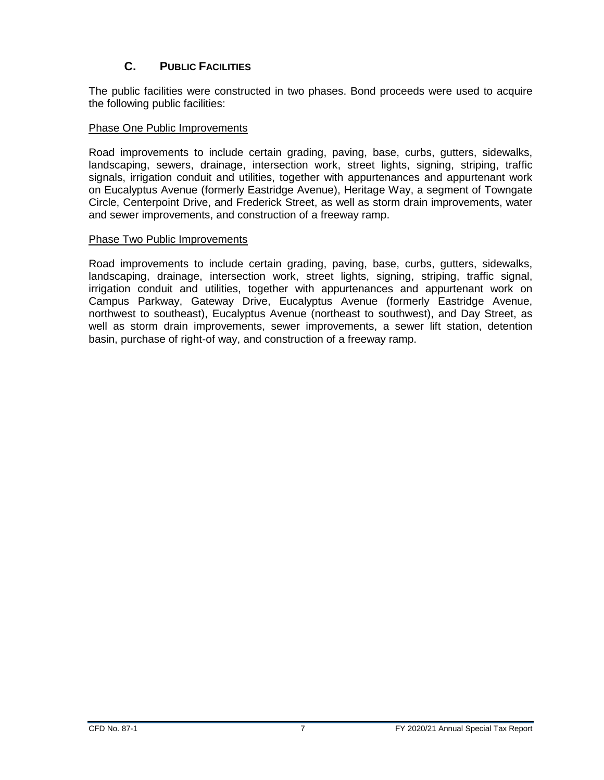## **C. PUBLIC FACILITIES**

<span id="page-10-0"></span>The public facilities were constructed in two phases. Bond proceeds were used to acquire the following public facilities:

#### Phase One Public Improvements

Road improvements to include certain grading, paving, base, curbs, gutters, sidewalks, landscaping, sewers, drainage, intersection work, street lights, signing, striping, traffic signals, irrigation conduit and utilities, together with appurtenances and appurtenant work on Eucalyptus Avenue (formerly Eastridge Avenue), Heritage Way, a segment of Towngate Circle, Centerpoint Drive, and Frederick Street, as well as storm drain improvements, water and sewer improvements, and construction of a freeway ramp.

#### Phase Two Public Improvements

Road improvements to include certain grading, paving, base, curbs, gutters, sidewalks, landscaping, drainage, intersection work, street lights, signing, striping, traffic signal, irrigation conduit and utilities, together with appurtenances and appurtenant work on Campus Parkway, Gateway Drive, Eucalyptus Avenue (formerly Eastridge Avenue, northwest to southeast), Eucalyptus Avenue (northeast to southwest), and Day Street, as well as storm drain improvements, sewer improvements, a sewer lift station, detention basin, purchase of right-of way, and construction of a freeway ramp.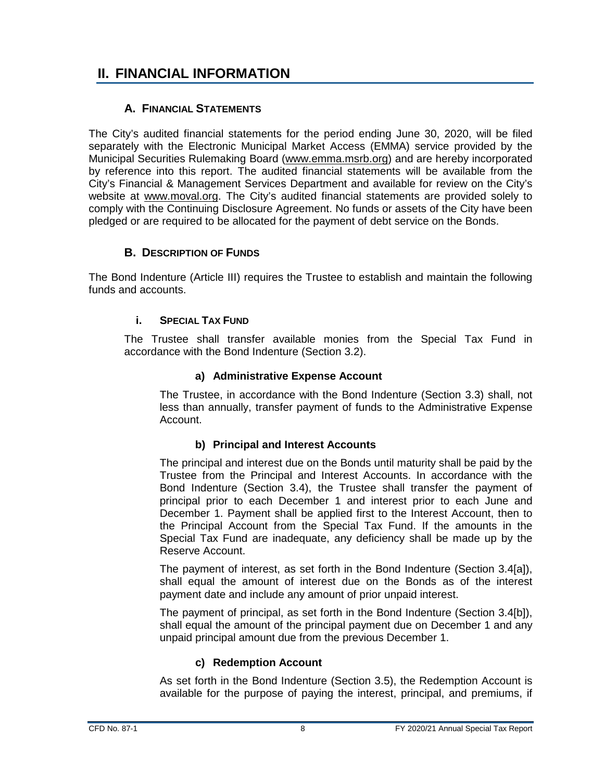# <span id="page-11-0"></span>**II. FINANCIAL INFORMATION**

#### **A. FINANCIAL STATEMENTS**

<span id="page-11-1"></span>The City's audited financial statements for the period ending June 30, 2020, will be filed separately with the Electronic Municipal Market Access (EMMA) service provided by the Municipal Securities Rulemaking Board [\(www.emma.msrb.org\)](http://www.emma.msrb.org/) and are hereby incorporated by reference into this report. The audited financial statements will be available from the City's Financial & Management Services Department and available for review on the City's website at [www.moval.org.](http://www.moval.org/) The City's audited financial statements are provided solely to comply with the Continuing Disclosure Agreement. No funds or assets of the City have been pledged or are required to be allocated for the payment of debt service on the Bonds.

#### **B. DESCRIPTION OF FUNDS**

<span id="page-11-3"></span><span id="page-11-2"></span>The Bond Indenture (Article III) requires the Trustee to establish and maintain the following funds and accounts.

#### **i. SPECIAL TAX FUND**

The Trustee shall transfer available monies from the Special Tax Fund in accordance with the Bond Indenture (Section 3.2).

#### **a) Administrative Expense Account**

The Trustee, in accordance with the Bond Indenture (Section 3.3) shall, not less than annually, transfer payment of funds to the Administrative Expense Account.

#### **b) Principal and Interest Accounts**

The principal and interest due on the Bonds until maturity shall be paid by the Trustee from the Principal and Interest Accounts. In accordance with the Bond Indenture (Section 3.4), the Trustee shall transfer the payment of principal prior to each December 1 and interest prior to each June and December 1. Payment shall be applied first to the Interest Account, then to the Principal Account from the Special Tax Fund. If the amounts in the Special Tax Fund are inadequate, any deficiency shall be made up by the Reserve Account.

The payment of interest, as set forth in the Bond Indenture (Section 3.4[a]), shall equal the amount of interest due on the Bonds as of the interest payment date and include any amount of prior unpaid interest.

The payment of principal, as set forth in the Bond Indenture (Section 3.4[b]), shall equal the amount of the principal payment due on December 1 and any unpaid principal amount due from the previous December 1.

#### **c) Redemption Account**

As set forth in the Bond Indenture (Section 3.5), the Redemption Account is available for the purpose of paying the interest, principal, and premiums, if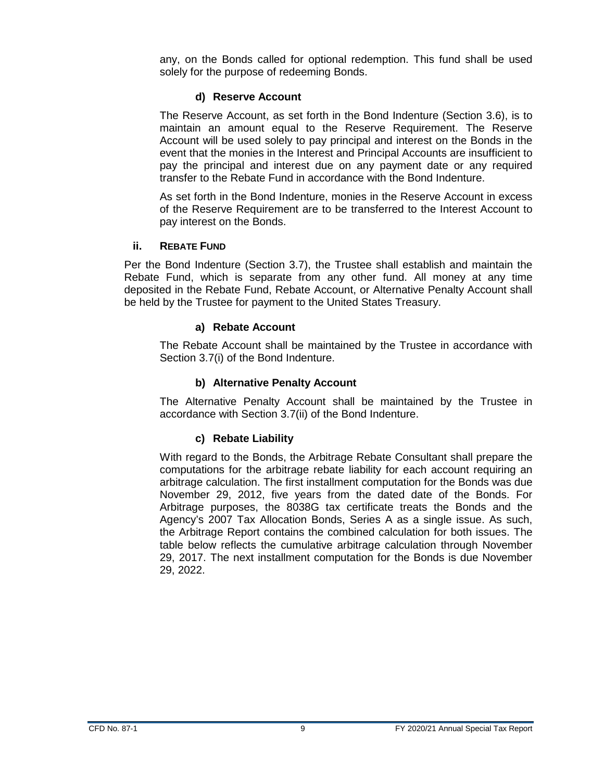any, on the Bonds called for optional redemption. This fund shall be used solely for the purpose of redeeming Bonds.

#### **d) Reserve Account**

The Reserve Account, as set forth in the Bond Indenture (Section 3.6), is to maintain an amount equal to the Reserve Requirement. The Reserve Account will be used solely to pay principal and interest on the Bonds in the event that the monies in the Interest and Principal Accounts are insufficient to pay the principal and interest due on any payment date or any required transfer to the Rebate Fund in accordance with the Bond Indenture.

As set forth in the Bond Indenture, monies in the Reserve Account in excess of the Reserve Requirement are to be transferred to the Interest Account to pay interest on the Bonds.

#### <span id="page-12-0"></span>**ii. REBATE FUND**

Per the Bond Indenture (Section 3.7), the Trustee shall establish and maintain the Rebate Fund, which is separate from any other fund. All money at any time deposited in the Rebate Fund, Rebate Account, or Alternative Penalty Account shall be held by the Trustee for payment to the United States Treasury.

#### **a) Rebate Account**

The Rebate Account shall be maintained by the Trustee in accordance with Section 3.7(i) of the Bond Indenture.

#### **b) Alternative Penalty Account**

The Alternative Penalty Account shall be maintained by the Trustee in accordance with Section 3.7(ii) of the Bond Indenture.

#### **c) Rebate Liability**

With regard to the Bonds, the Arbitrage Rebate Consultant shall prepare the computations for the arbitrage rebate liability for each account requiring an arbitrage calculation. The first installment computation for the Bonds was due November 29, 2012, five years from the dated date of the Bonds. For Arbitrage purposes, the 8038G tax certificate treats the Bonds and the Agency's 2007 Tax Allocation Bonds, Series A as a single issue. As such, the Arbitrage Report contains the combined calculation for both issues. The table below reflects the cumulative arbitrage calculation through November 29, 2017. The next installment computation for the Bonds is due November 29, 2022.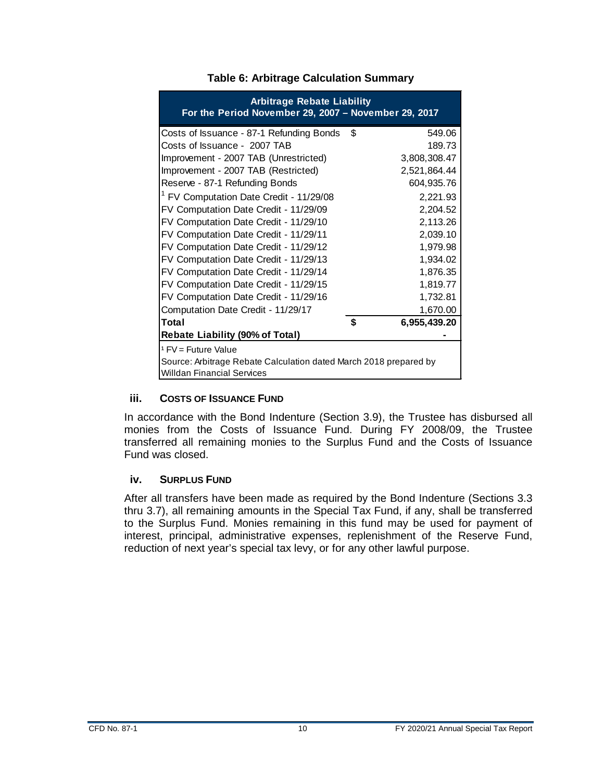<span id="page-13-2"></span>

| <b>Arbitrage Rebate Liability</b><br>For the Period November 29, 2007 - November 29, 2017 |    |              |  |  |
|-------------------------------------------------------------------------------------------|----|--------------|--|--|
| Costs of Issuance - 87-1 Refunding Bonds                                                  | \$ | 549.06       |  |  |
| Costs of Issuance - 2007 TAB                                                              |    | 189.73       |  |  |
| Improvement - 2007 TAB (Unrestricted)                                                     |    | 3,808,308.47 |  |  |
| Improvement - 2007 TAB (Restricted)                                                       |    | 2,521,864.44 |  |  |
| Reserve - 87-1 Refunding Bonds                                                            |    | 604,935.76   |  |  |
| <sup>1</sup> FV Computation Date Credit - 11/29/08                                        |    | 2,221.93     |  |  |
| FV Computation Date Credit - 11/29/09                                                     |    | 2,204.52     |  |  |
| FV Computation Date Credit - 11/29/10                                                     |    | 2,113.26     |  |  |
| FV Computation Date Credit - 11/29/11                                                     |    | 2,039.10     |  |  |
| FV Computation Date Credit - 11/29/12                                                     |    | 1,979.98     |  |  |
| FV Computation Date Credit - 11/29/13                                                     |    | 1,934.02     |  |  |
| FV Computation Date Credit - 11/29/14                                                     |    | 1,876.35     |  |  |
| FV Computation Date Credit - 11/29/15                                                     |    | 1,819.77     |  |  |
| FV Computation Date Credit - 11/29/16                                                     |    | 1,732.81     |  |  |
| Computation Date Credit - 11/29/17                                                        |    | 1,670.00     |  |  |
| Total                                                                                     | \$ | 6,955,439.20 |  |  |
| <b>Rebate Liability (90% of Total)</b>                                                    |    |              |  |  |
| <sup>1</sup> FV = Future Value                                                            |    |              |  |  |
| Source: Arbitrage Rebate Calculation dated March 2018 prepared by                         |    |              |  |  |
| <b>Willdan Financial Services</b>                                                         |    |              |  |  |

#### **Table 6: Arbitrage Calculation Summary**

#### <span id="page-13-0"></span>**iii. COSTS OF ISSUANCE FUND**

In accordance with the Bond Indenture (Section 3.9), the Trustee has disbursed all monies from the Costs of Issuance Fund. During FY 2008/09, the Trustee transferred all remaining monies to the Surplus Fund and the Costs of Issuance Fund was closed.

#### <span id="page-13-1"></span>**iv. SURPLUS FUND**

After all transfers have been made as required by the Bond Indenture (Sections 3.3 thru 3.7), all remaining amounts in the Special Tax Fund, if any, shall be transferred to the Surplus Fund. Monies remaining in this fund may be used for payment of interest, principal, administrative expenses, replenishment of the Reserve Fund, reduction of next year's special tax levy, or for any other lawful purpose.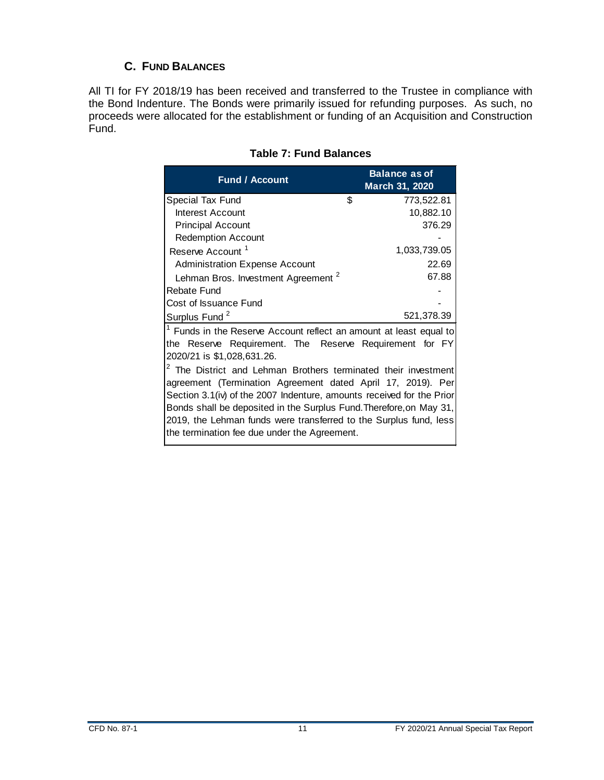## **C. FUND BALANCES**

<span id="page-14-1"></span><span id="page-14-0"></span>All TI for FY 2018/19 has been received and transferred to the Trustee in compliance with the Bond Indenture. The Bonds were primarily issued for refunding purposes. As such, no proceeds were allocated for the establishment or funding of an Acquisition and Construction Fund.

| <b>Fund / Account</b>                                                     | <b>Balance as of</b><br>March 31, 2020 |  |  |  |
|---------------------------------------------------------------------------|----------------------------------------|--|--|--|
| \$<br>Special Tax Fund                                                    | 773,522.81                             |  |  |  |
| Interest Account                                                          | 10,882.10                              |  |  |  |
| <b>Principal Account</b>                                                  | 376.29                                 |  |  |  |
| <b>Redemption Account</b>                                                 |                                        |  |  |  |
| Reserve Account <sup>1</sup>                                              | 1,033,739.05                           |  |  |  |
| <b>Administration Expense Account</b>                                     | 22.69                                  |  |  |  |
| Lehman Bros. Investment Agreement <sup>2</sup>                            | 67.88                                  |  |  |  |
| Rebate Fund                                                               |                                        |  |  |  |
| Cost of Issuance Fund                                                     |                                        |  |  |  |
| Surplus Fund <sup>2</sup>                                                 | 521,378.39                             |  |  |  |
| Funds in the Reserve Account reflect an amount at least equal to          |                                        |  |  |  |
| the Reserve Requirement. The Reserve Requirement for FY                   |                                        |  |  |  |
| 2020/21 is \$1,028,631.26.                                                |                                        |  |  |  |
| <sup>2</sup> The District and Lehman Brothers terminated their investment |                                        |  |  |  |
| agreement (Termination Agreement dated April 17, 2019). Per               |                                        |  |  |  |
| Section 3.1(iv) of the 2007 Indenture, amounts received for the Prior     |                                        |  |  |  |
| Bonds shall be deposited in the Surplus Fund. Therefore, on May 31,       |                                        |  |  |  |
| 2019, the Lehman funds were transferred to the Surplus fund, less         |                                        |  |  |  |
| the termination fee due under the Agreement.                              |                                        |  |  |  |

#### **Table 7: Fund Balances**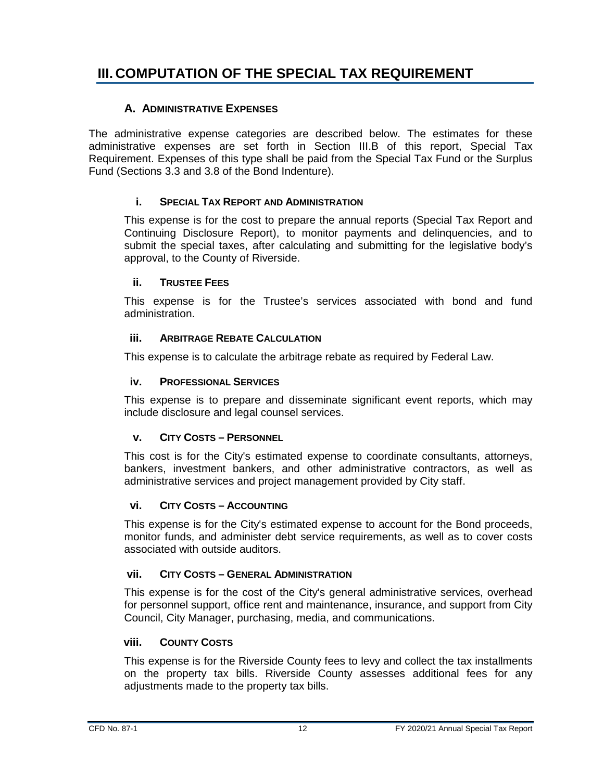# <span id="page-15-0"></span>**III. COMPUTATION OF THE SPECIAL TAX REQUIREMENT**

#### **A. ADMINISTRATIVE EXPENSES**

<span id="page-15-1"></span>The administrative expense categories are described below. The estimates for these administrative expenses are set forth in Section III.B of this report, Special Tax Requirement. Expenses of this type shall be paid from the Special Tax Fund or the Surplus Fund (Sections 3.3 and 3.8 of the Bond Indenture).

#### **i. SPECIAL TAX REPORT AND ADMINISTRATION**

<span id="page-15-2"></span>This expense is for the cost to prepare the annual reports (Special Tax Report and Continuing Disclosure Report), to monitor payments and delinquencies, and to submit the special taxes, after calculating and submitting for the legislative body's approval, to the County of Riverside.

#### <span id="page-15-3"></span>**ii. TRUSTEE FEES**

This expense is for the Trustee's services associated with bond and fund administration.

#### <span id="page-15-4"></span>**iii. ARBITRAGE REBATE CALCULATION**

<span id="page-15-5"></span>This expense is to calculate the arbitrage rebate as required by Federal Law.

#### **iv. PROFESSIONAL SERVICES**

This expense is to prepare and disseminate significant event reports, which may include disclosure and legal counsel services.

#### <span id="page-15-6"></span>**v. CITY COSTS – PERSONNEL**

This cost is for the City's estimated expense to coordinate consultants, attorneys, bankers, investment bankers, and other administrative contractors, as well as administrative services and project management provided by City staff.

#### <span id="page-15-7"></span>**vi. CITY COSTS – ACCOUNTING**

This expense is for the City's estimated expense to account for the Bond proceeds, monitor funds, and administer debt service requirements, as well as to cover costs associated with outside auditors.

#### <span id="page-15-8"></span>**vii. CITY COSTS – GENERAL ADMINISTRATION**

This expense is for the cost of the City's general administrative services, overhead for personnel support, office rent and maintenance, insurance, and support from City Council, City Manager, purchasing, media, and communications.

#### <span id="page-15-9"></span>**viii. COUNTY COSTS**

This expense is for the Riverside County fees to levy and collect the tax installments on the property tax bills. Riverside County assesses additional fees for any adjustments made to the property tax bills.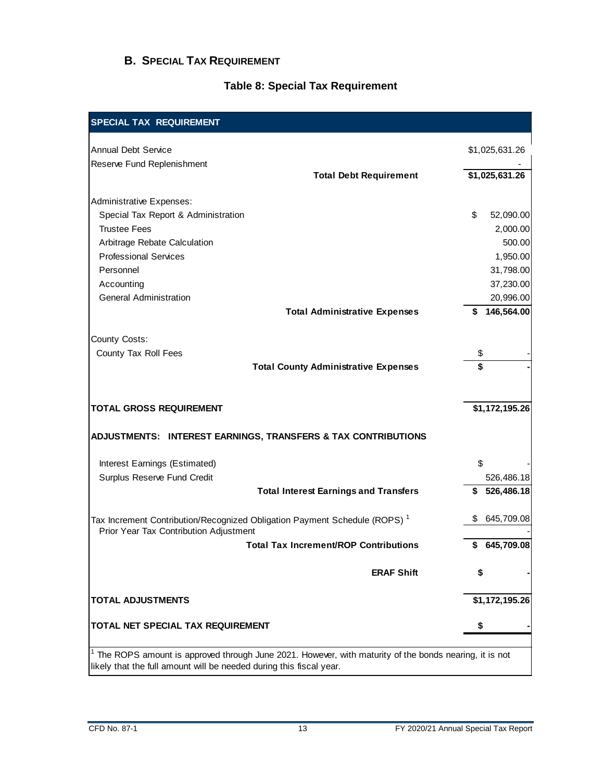#### <span id="page-16-0"></span>**B. SPECIAL TAX REQUIREMENT**

#### **Table 8: Special Tax Requirement**

<span id="page-16-1"></span>

| <b>SPECIAL TAX REQUIREMENT</b>                                                                                                                                               |                  |
|------------------------------------------------------------------------------------------------------------------------------------------------------------------------------|------------------|
| <b>Annual Debt Service</b>                                                                                                                                                   | \$1,025,631.26   |
| Reserve Fund Replenishment                                                                                                                                                   |                  |
| <b>Total Debt Requirement</b>                                                                                                                                                | \$1,025,631.26   |
| <b>Administrative Expenses:</b>                                                                                                                                              |                  |
| Special Tax Report & Administration                                                                                                                                          | \$<br>52,090.00  |
| <b>Trustee Fees</b>                                                                                                                                                          | 2,000.00         |
| Arbitrage Rebate Calculation                                                                                                                                                 | 500.00           |
| <b>Professional Services</b>                                                                                                                                                 | 1,950.00         |
| Personnel                                                                                                                                                                    | 31,798.00        |
| Accounting                                                                                                                                                                   | 37,230.00        |
| <b>General Administration</b>                                                                                                                                                | 20,996.00        |
| <b>Total Administrative Expenses</b>                                                                                                                                         | 146,564.00<br>S  |
|                                                                                                                                                                              |                  |
| County Costs:                                                                                                                                                                |                  |
| County Tax Roll Fees                                                                                                                                                         | \$               |
| <b>Total County Administrative Expenses</b>                                                                                                                                  | \$               |
|                                                                                                                                                                              |                  |
| <b>TOTAL GROSS REQUIREMENT</b>                                                                                                                                               | \$1,172,195.26   |
| ADJUSTMENTS: INTEREST EARNINGS, TRANSFERS & TAX CONTRIBUTIONS                                                                                                                |                  |
| Interest Earnings (Estimated)                                                                                                                                                | \$               |
| Surplus Reserve Fund Credit                                                                                                                                                  | 526,486.18       |
| <b>Total Interest Earnings and Transfers</b>                                                                                                                                 | 526,486.18<br>\$ |
| Tax Increment Contribution/Recognized Obligation Payment Schedule (ROPS) <sup>1</sup>                                                                                        | 645,709.08       |
| Prior Year Tax Contribution Adjustment<br><b>Total Tax Increment/ROP Contributions</b>                                                                                       | \$645,709.08     |
|                                                                                                                                                                              |                  |
| <b>ERAF Shift</b>                                                                                                                                                            | S                |
| <b>TOTAL ADJUSTMENTS</b>                                                                                                                                                     | \$1,172,195.26   |
| <b>TOTAL NET SPECIAL TAX REQUIREMENT</b>                                                                                                                                     | \$               |
|                                                                                                                                                                              |                  |
| The ROPS amount is approved through June 2021. However, with maturity of the bonds nearing, it is not<br>likely that the full amount will be needed during this fiscal year. |                  |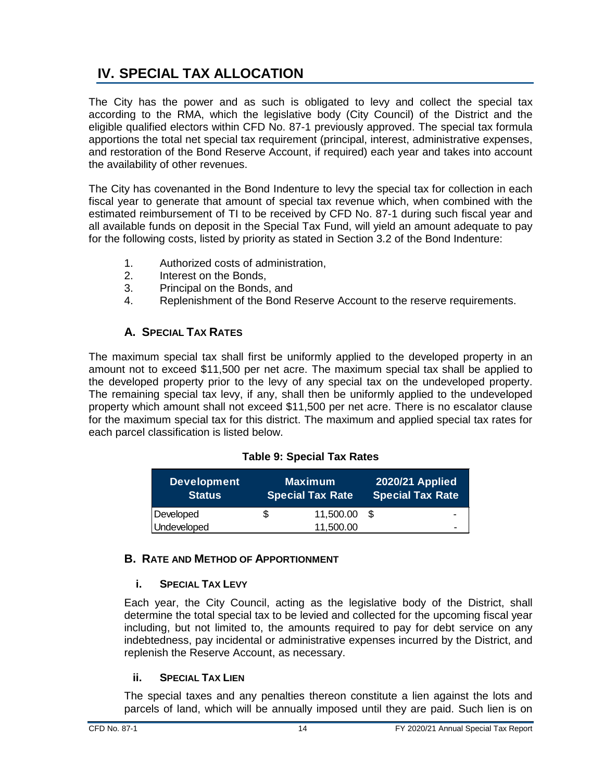# <span id="page-17-0"></span>**IV. SPECIAL TAX ALLOCATION**

The City has the power and as such is obligated to levy and collect the special tax according to the RMA, which the legislative body (City Council) of the District and the eligible qualified electors within CFD No. 87-1 previously approved. The special tax formula apportions the total net special tax requirement (principal, interest, administrative expenses, and restoration of the Bond Reserve Account, if required) each year and takes into account the availability of other revenues.

The City has covenanted in the Bond Indenture to levy the special tax for collection in each fiscal year to generate that amount of special tax revenue which, when combined with the estimated reimbursement of TI to be received by CFD No. 87-1 during such fiscal year and all available funds on deposit in the Special Tax Fund, will yield an amount adequate to pay for the following costs, listed by priority as stated in Section 3.2 of the Bond Indenture:

- 1. Authorized costs of administration,
- 2. Interest on the Bonds,
- 3. Principal on the Bonds, and
- 4. Replenishment of the Bond Reserve Account to the reserve requirements.

### **A. SPECIAL TAX RATES**

<span id="page-17-1"></span>The maximum special tax shall first be uniformly applied to the developed property in an amount not to exceed \$11,500 per net acre. The maximum special tax shall be applied to the developed property prior to the levy of any special tax on the undeveloped property. The remaining special tax levy, if any, shall then be uniformly applied to the undeveloped property which amount shall not exceed \$11,500 per net acre. There is no escalator clause for the maximum special tax for this district. The maximum and applied special tax rates for each parcel classification is listed below.

#### **Table 9: Special Tax Rates**

<span id="page-17-5"></span>

| <b>Development</b><br><b>Status</b> | <b>Maximum</b><br><b>Special Tax Rate</b> |      | <b>2020/21 Applied</b><br><b>Special Tax Rate</b> |
|-------------------------------------|-------------------------------------------|------|---------------------------------------------------|
| Developed                           | \$<br>11,500.00                           | - \$ | -                                                 |
| Undeveloped                         | 11,500.00                                 |      | -                                                 |

#### <span id="page-17-3"></span><span id="page-17-2"></span>**B. RATE AND METHOD OF APPORTIONMENT**

#### **i. SPECIAL TAX LEVY**

Each year, the City Council, acting as the legislative body of the District, shall determine the total special tax to be levied and collected for the upcoming fiscal year including, but not limited to, the amounts required to pay for debt service on any indebtedness, pay incidental or administrative expenses incurred by the District, and replenish the Reserve Account, as necessary.

#### <span id="page-17-4"></span>**ii. SPECIAL TAX LIEN**

The special taxes and any penalties thereon constitute a lien against the lots and parcels of land, which will be annually imposed until they are paid. Such lien is on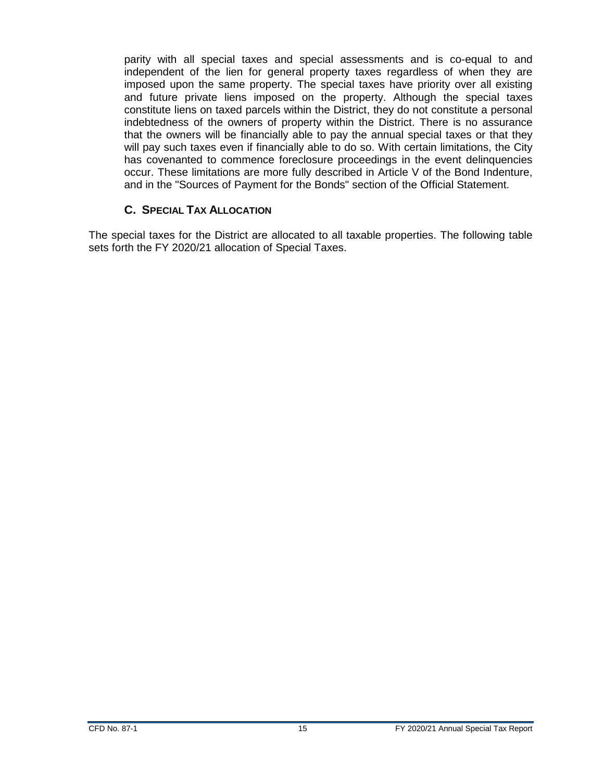parity with all special taxes and special assessments and is co-equal to and independent of the lien for general property taxes regardless of when they are imposed upon the same property. The special taxes have priority over all existing and future private liens imposed on the property. Although the special taxes constitute liens on taxed parcels within the District, they do not constitute a personal indebtedness of the owners of property within the District. There is no assurance that the owners will be financially able to pay the annual special taxes or that they will pay such taxes even if financially able to do so. With certain limitations, the City has covenanted to commence foreclosure proceedings in the event delinquencies occur. These limitations are more fully described in Article V of the Bond Indenture, and in the "Sources of Payment for the Bonds" section of the Official Statement.

#### **C. SPECIAL TAX ALLOCATION**

<span id="page-18-0"></span>The special taxes for the District are allocated to all taxable properties. The following table sets forth the FY 2020/21 allocation of Special Taxes.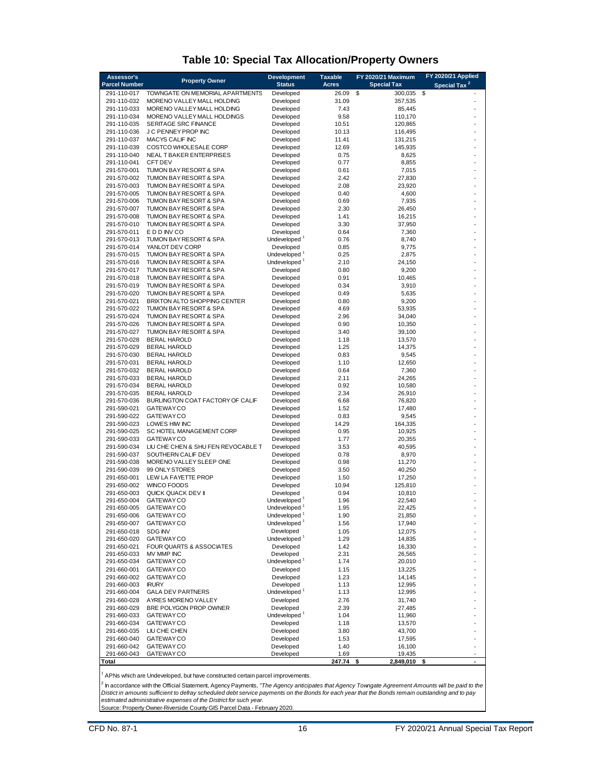<span id="page-19-0"></span>

| Assessor's<br><b>Parcel Number</b> | <b>Property Owner</b>                                   | <b>Development</b><br><b>Status</b>   | <b>Taxable</b><br><b>Acres</b> | FY 2020/21 Maximum<br><b>Special Tax</b> | FY 2020/21 Applied<br>Special Tax <sup>2</sup> |
|------------------------------------|---------------------------------------------------------|---------------------------------------|--------------------------------|------------------------------------------|------------------------------------------------|
| 291-110-017                        | TOWNGATE ON MEMORIAL APARTMENTS                         | Developed                             | 26.09                          | \$<br>300,035                            | \$                                             |
| 291-110-032                        | MORENO VALLEY MALL HOLDING                              | Developed                             | 31.09                          | 357,535                                  |                                                |
| 291-110-033                        | MORENO VALLEY MALL HOLDING                              | Developed                             | 7.43                           | 85,445                                   |                                                |
| 291-110-034                        | MORENO VALLEY MALL HOLDINGS                             | Developed                             | 9.58                           | 110,170                                  |                                                |
| 291-110-035                        | <b>SERITAGE SRC FINANCE</b>                             | Developed                             | 10.51                          | 120,865                                  |                                                |
| 291-110-036                        | J C PENNEY PROP INC                                     | Developed                             | 10.13                          | 116,495                                  |                                                |
| 291-110-037                        | MACYS CALIF INC                                         | Developed                             | 11.41                          | 131,215                                  |                                                |
| 291-110-039                        | COSTCO WHOLESALE CORP                                   | Developed                             | 12.69                          | 145,935                                  |                                                |
| 291-110-040<br>291-110-041         | NEAL T BAKER ENTERPRISES<br><b>CFT DEV</b>              | Developed<br>Developed                | 0.75<br>0.77                   | 8,625<br>8,855                           |                                                |
| 291-570-001                        | TUMON BAY RESORT & SPA                                  | Developed                             | 0.61                           | 7,015                                    |                                                |
| 291-570-002                        | TUMON BAY RESORT & SPA                                  | Developed                             | 2.42                           | 27,830                                   |                                                |
| 291-570-003                        | TUMON BAY RESORT & SPA                                  | Developed                             | 2.08                           | 23,920                                   |                                                |
| 291-570-005                        | TUMON BAY RESORT & SPA                                  | Developed                             | 0.40                           | 4,600                                    |                                                |
| 291-570-006                        | TUMON BAY RESORT & SPA                                  | Developed                             | 0.69                           | 7,935                                    |                                                |
| 291-570-007                        | TUMON BAY RESORT & SPA                                  | Developed                             | 2.30                           | 26,450                                   |                                                |
| 291-570-008                        | TUMON BAY RESORT & SPA                                  | Developed                             | 1.41                           | 16,215                                   |                                                |
| 291-570-010                        | TUMON BAY RESORT & SPA                                  | Developed                             | 3.30                           | 37,950                                   |                                                |
| 291-570-011<br>291-570-013         | E D D INV CO<br>TUMON BAY RESORT & SPA                  | Developed<br>Undeveloped <sup>1</sup> | 0.64<br>0.76                   | 7,360<br>8,740                           |                                                |
| 291-570-014                        | YANLOT DEV CORP                                         | Developed                             | 0.85                           | 9,775                                    |                                                |
| 291-570-015                        | TUMON BAY RESORT & SPA                                  | Undeveloped <sup>1</sup>              | 0.25                           | 2,875                                    |                                                |
| 291-570-016                        | TUMON BAY RESORT & SPA                                  | Undeveloped <sup>1</sup>              | 2.10                           | 24,150                                   |                                                |
| 291-570-017                        | TUMON BAY RESORT & SPA                                  | Developed                             | 0.80                           | 9,200                                    |                                                |
| 291-570-018                        | TUMON BAY RESORT & SPA                                  | Developed                             | 0.91                           | 10,465                                   |                                                |
| 291-570-019                        | TUMON BAY RESORT & SPA                                  | Developed                             | 0.34                           | 3,910                                    |                                                |
| 291-570-020                        | TUMON BAY RESORT & SPA                                  | Developed                             | 0.49                           | 5,635                                    |                                                |
| 291-570-021                        | <b>BRIXTON ALTO SHOPPING CENTER</b>                     | Developed                             | 0.80                           | 9,200                                    |                                                |
| 291-570-022                        | TUMON BAY RESORT & SPA                                  | Developed                             | 4.69                           | 53,935                                   |                                                |
| 291-570-024<br>291-570-026         | TUMON BAY RESORT & SPA<br>TUMON BAY RESORT & SPA        | Developed<br>Developed                | 2.96<br>0.90                   | 34,040<br>10,350                         |                                                |
| 291-570-027                        | <b>TUMON BAY RESORT &amp; SPA</b>                       | Developed                             | 3.40                           | 39,100                                   |                                                |
| 291-570-028                        | <b>BERAL HAROLD</b>                                     | Developed                             | 1.18                           | 13,570                                   |                                                |
| 291-570-029                        | <b>BERAL HAROLD</b>                                     | Developed                             | 1.25                           | 14,375                                   |                                                |
| 291-570-030                        | <b>BERAL HAROLD</b>                                     | Developed                             | 0.83                           | 9,545                                    |                                                |
| 291-570-031                        | <b>BERAL HAROLD</b>                                     | Developed                             | 1.10                           | 12,650                                   |                                                |
| 291-570-032                        | <b>BERAL HAROLD</b>                                     | Developed                             | 0.64                           | 7,360                                    |                                                |
| 291-570-033                        | <b>BERAL HAROLD</b>                                     | Developed                             | 2.11                           | 24,265                                   |                                                |
| 291-570-034                        | <b>BERAL HAROLD</b>                                     | Developed                             | 0.92<br>2.34                   | 10,580                                   |                                                |
| 291-570-035<br>291-570-036         | <b>BERAL HAROLD</b><br>BURLINGTON COAT FACTORY OF CALIF | Developed<br>Developed                | 6.68                           | 26,910<br>76,820                         |                                                |
| 291-590-021                        | <b>GATEWAYCO</b>                                        | Developed                             | 1.52                           | 17,480                                   |                                                |
| 291-590-022                        | <b>GATEWAYCO</b>                                        | Developed                             | 0.83                           | 9,545                                    |                                                |
| 291-590-023                        | LOWES HIW INC                                           | Developed                             | 14.29                          | 164,335                                  |                                                |
| 291-590-025                        | SC HOTEL MANAGEMENT CORP                                | Developed                             | 0.95                           | 10,925                                   |                                                |
| 291-590-033                        | <b>GATEWAYCO</b>                                        | Developed                             | 1.77                           | 20,355                                   |                                                |
| 291-590-034                        | LIU CHE CHEN & SHU FEN REVOCABLE T                      | Developed                             | 3.53                           | 40,595                                   |                                                |
| 291-590-037<br>291-590-038         | SOUTHERN CALIF DEV<br>MORENO VALLEY SLEEP ONE           | Developed                             | 0.78                           | 8,970                                    |                                                |
| 291-590-039                        | 99 ONLY STORES                                          | Developed<br>Developed                | 0.98<br>3.50                   | 11,270<br>40,250                         |                                                |
| 291-650-001                        | LEW LA FAYETTE PROP                                     | Developed                             | 1.50                           | 17,250                                   |                                                |
| 291-650-002                        | <b>WINCO FOODS</b>                                      | Developed                             | 10.94                          | 125,810                                  |                                                |
| 291-650-003                        | QUICK QUACK DEV II                                      | Developed                             | 0.94                           | 10.810                                   |                                                |
| 291-650-004                        | GATEWAY CO                                              | Undeveloped <sup>1</sup>              | 1.96                           | 22,540                                   |                                                |
| 291-650-005                        | GATEWAY CO                                              | Undeveloped $1$                       | 1.95                           | 22,425                                   |                                                |
| 291-650-006                        | GATEWAY CO                                              | Undeveloped <sup>1</sup>              | 1.90                           | 21,850                                   |                                                |
| 291-650-007                        | GATEWAY CO                                              | Undeveloped <sup>1</sup>              | 1.56                           | 17,940                                   | -                                              |
| 291-650-018<br>291-650-020         | <b>SDG INV</b><br>GATEWAY CO                            | Developed<br>Undeveloped <sup>1</sup> | 1.05<br>1.29                   | 12,075                                   | -<br>-                                         |
| 291-650-021                        | FOUR QUARTS & ASSOCIATES                                | Developed                             | 1.42                           | 14,835<br>16,330                         |                                                |
| 291-650-033                        | MV MMP INC                                              | Developed                             | 2.31                           | 26,565                                   |                                                |
| 291-650-034                        | GATEWAY CO                                              | Undeveloped $1$                       | 1.74                           | 20,010                                   |                                                |
| 291-660-001                        | GATEWAY CO                                              | Developed                             | 1.15                           | 13,225                                   |                                                |
| 291-660-002                        | GATEWAY CO                                              | Developed                             | 1.23                           | 14,145                                   | -                                              |
| 291-660-003                        | <b>IRURY</b>                                            | Developed                             | 1.13                           | 12,995                                   |                                                |
| 291-660-004                        | <b>GALA DEV PARTNERS</b>                                | Undeveloped <sup>1</sup>              | 1.13                           | 12,995                                   |                                                |
| 291-660-028                        | AYRES MORENO VALLEY                                     | Developed                             | 2.76                           | 31,740                                   |                                                |
| 291-660-029                        | BRE POLYGON PROP OWNER                                  | Developed<br>Undeveloped <sup>1</sup> | 2.39<br>1.04                   | 27,485                                   |                                                |
| 291-660-033<br>291-660-034         | GATEWAY CO<br>GATEWAY CO                                | Developed                             | 1.18                           | 11,960<br>13,570                         |                                                |
| 291-660-035                        | LIU CHE CHEN                                            | Developed                             | 3.80                           | 43,700                                   |                                                |
| 291-660-040                        | GATEWAY CO                                              | Developed                             | 1.53                           | 17,595                                   | $\frac{1}{2}$                                  |
| 291-660-042                        | GATEWAY CO                                              | Developed                             | 1.40                           | 16,100                                   |                                                |
| 291-660-043                        | <b>GATEWAY CO</b>                                       | Developed                             | 1.69                           | <u>19,435</u>                            |                                                |
| Total                              |                                                         |                                       | 247.74                         | \$<br>2,849,010                          | \$<br>۰                                        |

#### **Table 10: Special Tax Allocation/Property Owners**

1 APNs which are Undeveloped, but have constructed certain parcel improvements.

<sup>2</sup> In accordance with the Official Statement, Agency Payments, "The Agency anticipates that Agency Towngate Agreement Amounts will be paid to the<br>Distict in amounts sufficient to defray scheduled debt service payments on

Source: Property Owner-Riverside County GIS Parcel Data - February 2020.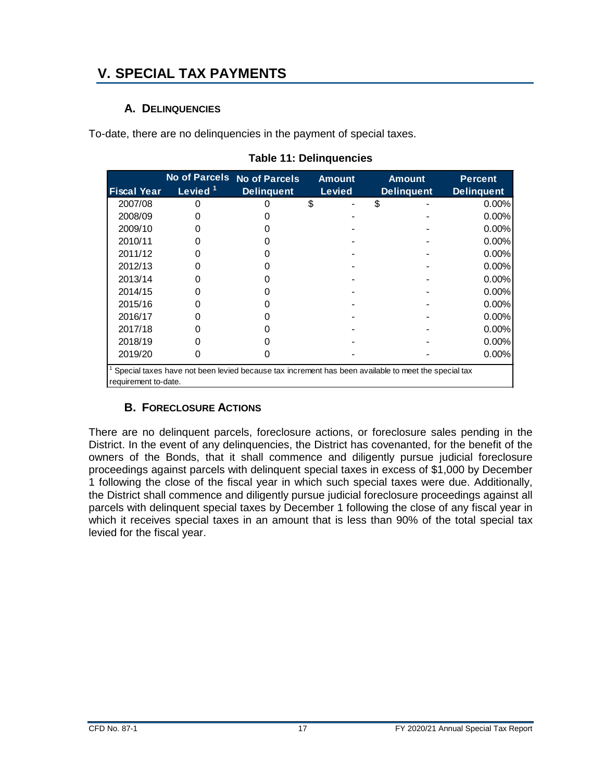# <span id="page-20-1"></span><span id="page-20-0"></span>**V. SPECIAL TAX PAYMENTS**

#### **A. DELINQUENCIES**

<span id="page-20-3"></span>To-date, there are no delinquencies in the payment of special taxes.

|                      |                     | No of Parcels No of Parcels | <b>Amount</b> | <b>Amount</b>                                                                                       | <b>Percent</b>    |
|----------------------|---------------------|-----------------------------|---------------|-----------------------------------------------------------------------------------------------------|-------------------|
| <b>Fiscal Year</b>   | Levied <sup>1</sup> | <b>Delinguent</b>           | <b>Levied</b> | <b>Delinquent</b>                                                                                   | <b>Delinquent</b> |
| 2007/08              |                     |                             | \$            | \$                                                                                                  | $0.00\%$          |
| 2008/09              |                     |                             |               |                                                                                                     | $0.00\%$          |
| 2009/10              |                     |                             |               |                                                                                                     | 0.00%             |
| 2010/11              |                     |                             |               |                                                                                                     | 0.00%             |
| 2011/12              |                     |                             |               |                                                                                                     | $0.00\%$          |
| 2012/13              |                     |                             |               |                                                                                                     | 0.00%             |
| 2013/14              |                     |                             |               |                                                                                                     | $0.00\%$          |
| 2014/15              |                     |                             |               |                                                                                                     | 0.00%             |
| 2015/16              |                     |                             |               |                                                                                                     | $0.00\%$          |
| 2016/17              |                     |                             |               |                                                                                                     | $0.00\%$          |
| 2017/18              |                     |                             |               |                                                                                                     | $0.00\%$          |
| 2018/19              |                     |                             |               |                                                                                                     | $0.00\%$          |
| 2019/20              |                     |                             |               |                                                                                                     | 0.00%             |
| requirement to-date. |                     |                             |               | Special taxes have not been levied because tax increment has been available to meet the special tax |                   |

#### **Table 11: Delinquencies**

#### **B. FORECLOSURE ACTIONS**

<span id="page-20-2"></span>There are no delinquent parcels, foreclosure actions, or foreclosure sales pending in the District. In the event of any delinquencies, the District has covenanted, for the benefit of the owners of the Bonds, that it shall commence and diligently pursue judicial foreclosure proceedings against parcels with delinquent special taxes in excess of \$1,000 by December 1 following the close of the fiscal year in which such special taxes were due. Additionally, the District shall commence and diligently pursue judicial foreclosure proceedings against all parcels with delinquent special taxes by December 1 following the close of any fiscal year in which it receives special taxes in an amount that is less than 90% of the total special tax levied for the fiscal year.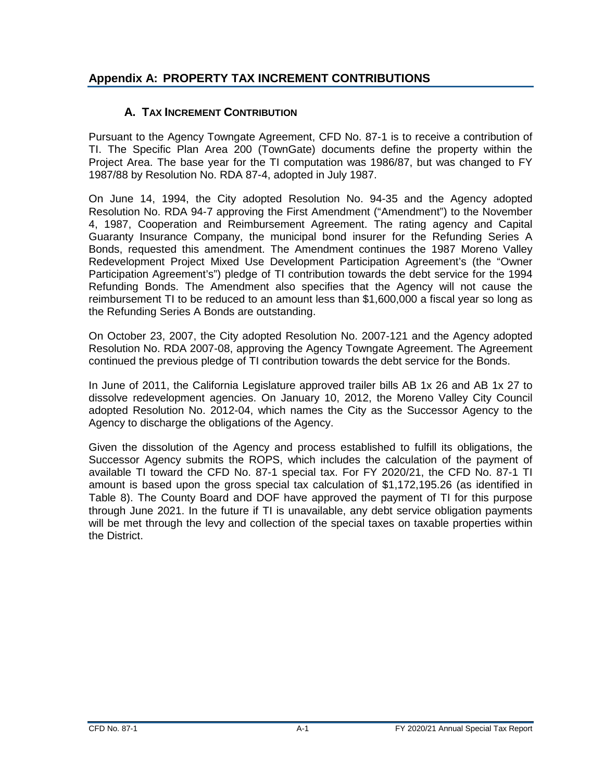## <span id="page-21-1"></span>**Appendix A: PROPERTY TAX INCREMENT CONTRIBUTIONS**

### <span id="page-21-0"></span>**A. TAX INCREMENT CONTRIBUTION**

Pursuant to the Agency Towngate Agreement, CFD No. 87-1 is to receive a contribution of TI. The Specific Plan Area 200 (TownGate) documents define the property within the Project Area. The base year for the TI computation was 1986/87, but was changed to FY 1987/88 by Resolution No. RDA 87-4, adopted in July 1987.

On June 14, 1994, the City adopted Resolution No. 94-35 and the Agency adopted Resolution No. RDA 94-7 approving the First Amendment ("Amendment") to the November 4, 1987, Cooperation and Reimbursement Agreement. The rating agency and Capital Guaranty Insurance Company, the municipal bond insurer for the Refunding Series A Bonds, requested this amendment. The Amendment continues the 1987 Moreno Valley Redevelopment Project Mixed Use Development Participation Agreement's (the "Owner Participation Agreement's") pledge of TI contribution towards the debt service for the 1994 Refunding Bonds. The Amendment also specifies that the Agency will not cause the reimbursement TI to be reduced to an amount less than \$1,600,000 a fiscal year so long as the Refunding Series A Bonds are outstanding.

On October 23, 2007, the City adopted Resolution No. 2007-121 and the Agency adopted Resolution No. RDA 2007-08, approving the Agency Towngate Agreement. The Agreement continued the previous pledge of TI contribution towards the debt service for the Bonds.

In June of 2011, the California Legislature approved trailer bills AB 1x 26 and AB 1x 27 to dissolve redevelopment agencies. On January 10, 2012, the Moreno Valley City Council adopted Resolution No. 2012-04, which names the City as the Successor Agency to the Agency to discharge the obligations of the Agency.

Given the dissolution of the Agency and process established to fulfill its obligations, the Successor Agency submits the ROPS, which includes the calculation of the payment of available TI toward the CFD No. 87-1 special tax. For FY 2020/21, the CFD No. 87-1 TI amount is based upon the gross special tax calculation of \$1,172,195.26 (as identified in Table 8). The County Board and DOF have approved the payment of TI for this purpose through June 2021. In the future if TI is unavailable, any debt service obligation payments will be met through the levy and collection of the special taxes on taxable properties within the District.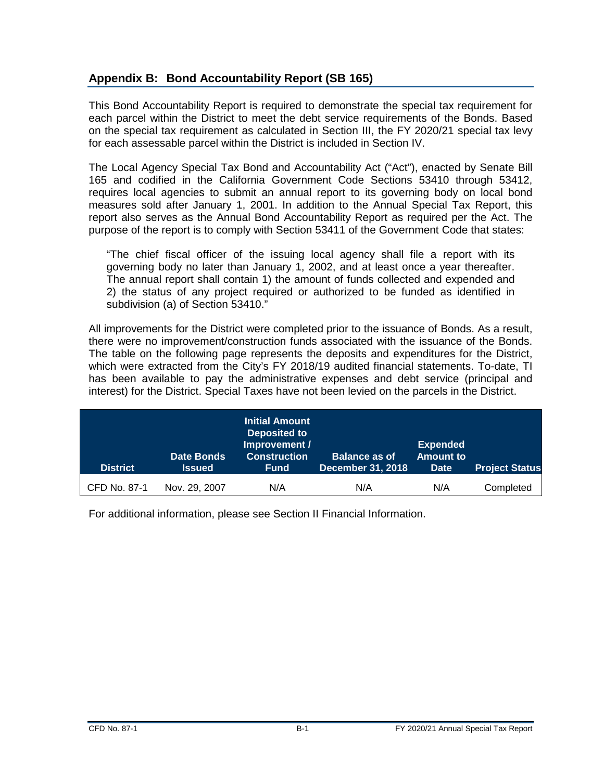#### <span id="page-22-0"></span>**Appendix B: Bond Accountability Report (SB 165)**

This Bond Accountability Report is required to demonstrate the special tax requirement for each parcel within the District to meet the debt service requirements of the Bonds. Based on the special tax requirement as calculated in Section III, the FY 2020/21 special tax levy for each assessable parcel within the District is included in Section IV.

The Local Agency Special Tax Bond and Accountability Act ("Act"), enacted by Senate Bill 165 and codified in the California Government Code Sections 53410 through 53412, requires local agencies to submit an annual report to its governing body on local bond measures sold after January 1, 2001. In addition to the Annual Special Tax Report, this report also serves as the Annual Bond Accountability Report as required per the Act. The purpose of the report is to comply with Section 53411 of the Government Code that states:

"The chief fiscal officer of the issuing local agency shall file a report with its governing body no later than January 1, 2002, and at least once a year thereafter. The annual report shall contain 1) the amount of funds collected and expended and 2) the status of any project required or authorized to be funded as identified in subdivision (a) of Section 53410."

All improvements for the District were completed prior to the issuance of Bonds. As a result, there were no improvement/construction funds associated with the issuance of the Bonds. The table on the following page represents the deposits and expenditures for the District, which were extracted from the City's FY 2018/19 audited financial statements. To-date, TI has been available to pay the administrative expenses and debt service (principal and interest) for the District. Special Taxes have not been levied on the parcels in the District.

| <b>District</b> | <b>Date Bonds</b><br><b>Issued</b> | <b>Initial Amount</b><br>Deposited to<br>Improvement /<br><b>Construction</b><br><b>Fund</b> | <b>Balance as of</b><br><b>December 31, 2018</b> | <b>Expended</b><br><b>Amount to</b><br><b>Date</b> | <b>Project Status</b> |
|-----------------|------------------------------------|----------------------------------------------------------------------------------------------|--------------------------------------------------|----------------------------------------------------|-----------------------|
| CFD No. 87-1    | Nov. 29, 2007                      | N/A                                                                                          | N/A                                              | N/A                                                | Completed             |

For additional information, please see Section II Financial Information.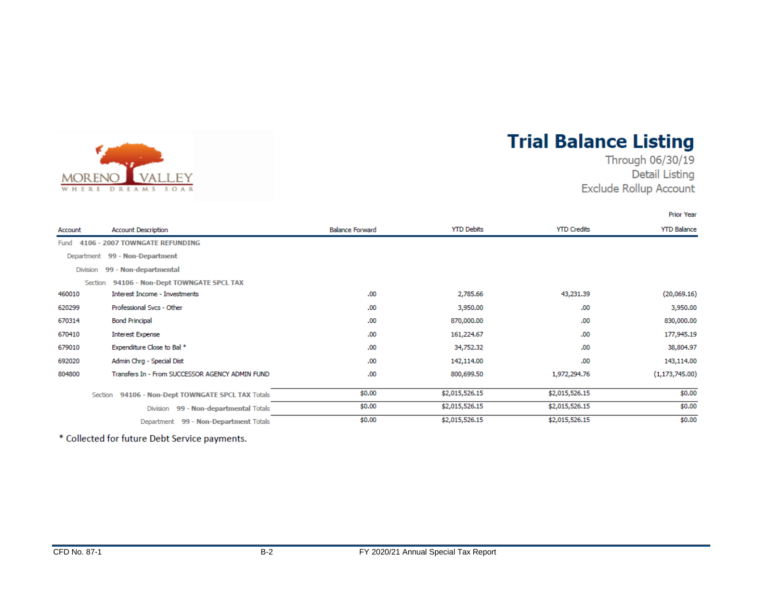

# **Trial Balance Listing**

Through 06/30/19 **Detail Listing** Exclude Rollup Account

**Prior Year** 

| Account         | <b>Account Description</b>                           | <b>Balance Forward</b> | <b>YTD Debits</b> | <b>YTD Credits</b> | <b>YTD Balance</b> |
|-----------------|------------------------------------------------------|------------------------|-------------------|--------------------|--------------------|
| Fund            | 4106 - 2007 TOWNGATE REFUNDING                       |                        |                   |                    |                    |
|                 | Department 99 - Non-Department                       |                        |                   |                    |                    |
| <b>Division</b> | 99 - Non-departmental                                |                        |                   |                    |                    |
| Section         | 94106 - Non-Dept TOWNGATE SPCL TAX                   |                        |                   |                    |                    |
| 460010          | Interest Income - Investments                        | .00                    | 2,785.66          | 43,231.39          | (20,069.16)        |
| 620299          | Professional Svcs - Other                            | .00                    | 3,950.00          | .00                | 3,950.00           |
| 670314          | <b>Bond Principal</b>                                | .00                    | 870,000.00        | .00                | 830,000.00         |
| 670410          | <b>Interest Expense</b>                              | .00.                   | 161,224.67        | .00                | 177,945.19         |
| 679010          | Expenditure Close to Bal *                           | .00.                   | 34,752.32         | .00                | 38,804.97          |
| 692020          | Admin Chrg - Special Dist                            | .00                    | 142,114.00        | .00                | 143,114.00         |
| 804800          | Transfers In - From SUCCESSOR AGENCY ADMIN FUND      | .00.                   | 800,699.50        | 1,972,294.76       | (1, 173, 745.00)   |
|                 | 94106 - Non-Dept TOWNGATE SPCL TAX Totals<br>Section | \$0.00                 | \$2,015,526.15    | \$2,015,526.15     | \$0.00             |
|                 | 99 - Non-departmental Totals<br>Division             | \$0.00                 | \$2,015,526.15    | \$2,015,526.15     | \$0.00             |
|                 | Department 99 - Non-Department Totals                | \$0.00                 | \$2,015,526.15    | \$2,015,526.15     | \$0.00             |

\* Collected for future Debt Service payments.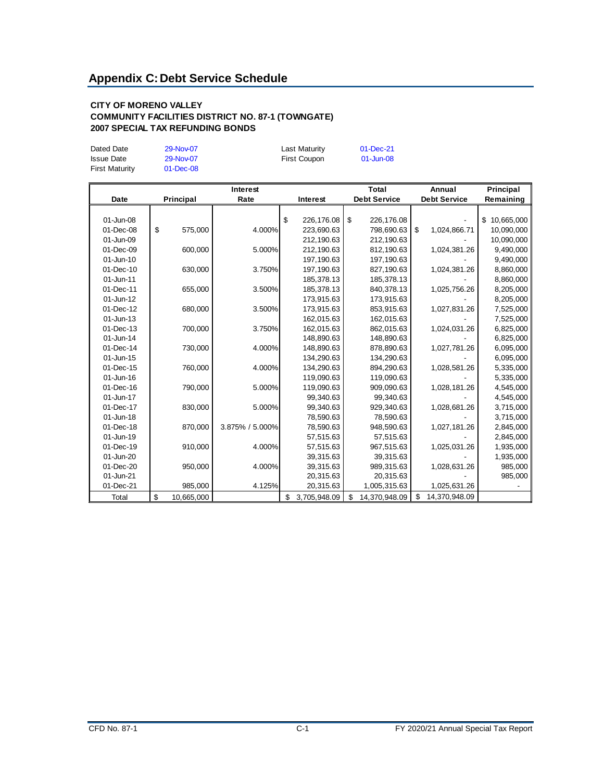#### <span id="page-24-0"></span>**CITY OF MORENO VALLEY COMMUNITY FACILITIES DISTRICT NO. 87-1 (TOWNGATE) 2007 SPECIAL TAX REFUNDING BONDS**

| Dated Date<br><b>Issue Date</b><br><b>First Maturity</b> | 29-Nov-07<br>29-Nov-07<br>$01$ -Dec-08 | Last Maturity<br>First Coupon | $01 - Dec-21$<br>01-Jun-08 |
|----------------------------------------------------------|----------------------------------------|-------------------------------|----------------------------|
|                                                          |                                        |                               |                            |

|             | Interest |            | Total           |                    | Annual |                     | Principal |                     |           |            |
|-------------|----------|------------|-----------------|--------------------|--------|---------------------|-----------|---------------------|-----------|------------|
| <b>Date</b> |          | Principal  | Rate            | Interest           |        | <b>Debt Service</b> |           | <b>Debt Service</b> | Remaining |            |
|             |          |            |                 |                    |        |                     |           |                     |           |            |
| 01-Jun-08   |          |            |                 | \$<br>226,176.08   | \$     | 226,176.08          |           |                     | \$        | 10,665,000 |
| 01-Dec-08   | \$       | 575,000    | 4.000%          | 223,690.63         |        | 798,690.63          | \$        | 1,024,866.71        |           | 10,090,000 |
| 01-Jun-09   |          |            |                 | 212,190.63         |        | 212,190.63          |           |                     |           | 10,090,000 |
| 01-Dec-09   |          | 600,000    | 5.000%          | 212,190.63         |        | 812,190.63          |           | 1,024,381.26        |           | 9,490,000  |
| 01-Jun-10   |          |            |                 | 197,190.63         |        | 197, 190.63         |           |                     |           | 9,490,000  |
| 01-Dec-10   |          | 630,000    | 3.750%          | 197,190.63         |        | 827,190.63          |           | 1,024,381.26        |           | 8,860,000  |
| 01-Jun-11   |          |            |                 | 185,378.13         |        | 185,378.13          |           |                     |           | 8,860,000  |
| 01-Dec-11   |          | 655,000    | 3.500%          | 185,378.13         |        | 840,378.13          |           | 1,025,756.26        |           | 8,205,000  |
| 01-Jun-12   |          |            |                 | 173,915.63         |        | 173,915.63          |           |                     |           | 8,205,000  |
| 01-Dec-12   |          | 680,000    | 3.500%          | 173,915.63         |        | 853,915.63          |           | 1,027,831.26        |           | 7,525,000  |
| 01-Jun-13   |          |            |                 | 162,015.63         |        | 162,015.63          |           |                     |           | 7,525,000  |
| 01-Dec-13   |          | 700,000    | 3.750%          | 162,015.63         |        | 862,015.63          |           | 1,024,031.26        |           | 6,825,000  |
| 01-Jun-14   |          |            |                 | 148,890.63         |        | 148,890.63          |           |                     |           | 6,825,000  |
| 01-Dec-14   |          | 730,000    | 4.000%          | 148,890.63         |        | 878,890.63          |           | 1,027,781.26        |           | 6,095,000  |
| 01-Jun-15   |          |            |                 | 134,290.63         |        | 134,290.63          |           |                     |           | 6,095,000  |
| 01-Dec-15   |          | 760,000    | 4.000%          | 134,290.63         |        | 894,290.63          |           | 1,028,581.26        |           | 5,335,000  |
| 01-Jun-16   |          |            |                 | 119,090.63         |        | 119,090.63          |           |                     |           | 5,335,000  |
| 01-Dec-16   |          | 790,000    | 5.000%          | 119,090.63         |        | 909,090.63          |           | 1,028,181.26        |           | 4,545,000  |
| 01-Jun-17   |          |            |                 | 99,340.63          |        | 99,340.63           |           |                     |           | 4,545,000  |
| 01-Dec-17   |          | 830,000    | 5.000%          | 99,340.63          |        | 929,340.63          |           | 1,028,681.26        |           | 3,715,000  |
| 01-Jun-18   |          |            |                 | 78,590.63          |        | 78,590.63           |           |                     |           | 3,715,000  |
| 01-Dec-18   |          | 870,000    | 3.875% / 5.000% | 78,590.63          |        | 948,590.63          |           | 1,027,181.26        |           | 2,845,000  |
| 01-Jun-19   |          |            |                 | 57,515.63          |        | 57,515.63           |           |                     |           | 2,845,000  |
| 01-Dec-19   |          | 910,000    | 4.000%          | 57,515.63          |        | 967,515.63          |           | 1,025,031.26        |           | 1,935,000  |
| 01-Jun-20   |          |            |                 | 39,315.63          |        | 39,315.63           |           |                     |           | 1,935,000  |
| 01-Dec-20   |          | 950,000    | 4.000%          | 39,315.63          |        | 989,315.63          |           | 1,028,631.26        |           | 985,000    |
| 01-Jun-21   |          |            |                 | 20,315.63          |        | 20,315.63           |           |                     |           | 985,000    |
| 01-Dec-21   |          | 985,000    | 4.125%          | 20,315.63          |        | 1,005,315.63        |           | 1,025,631.26        |           |            |
| Total       | \$       | 10,665,000 |                 | \$<br>3.705.948.09 | \$     | 14.370.948.09       | \$        | 14,370,948.09       |           |            |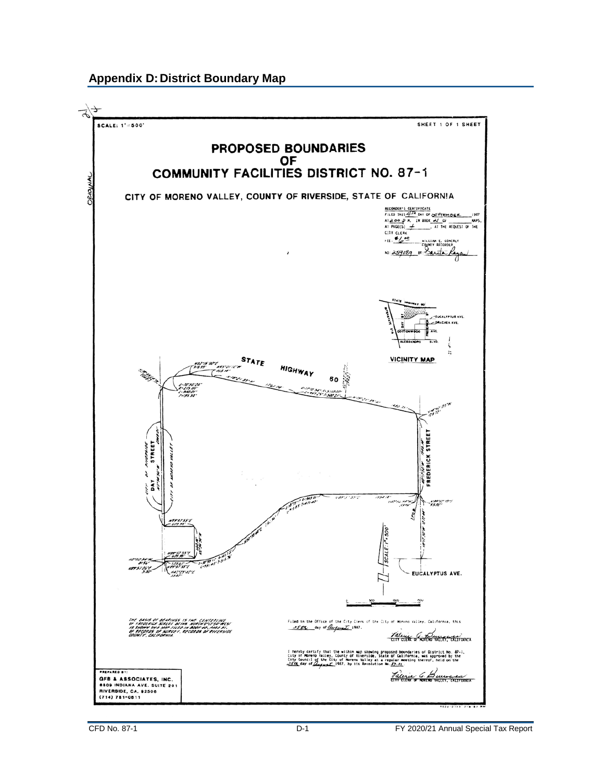#### <span id="page-25-0"></span>**Appendix D: District Boundary Map**